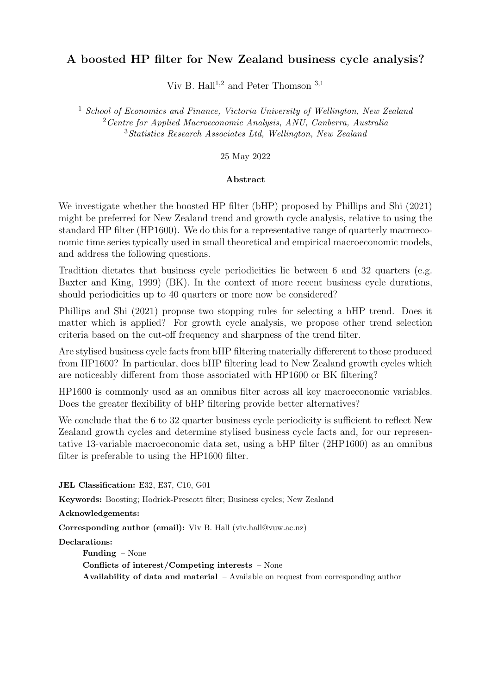### A boosted HP filter for New Zealand business cycle analysis?

Viv B. Hall<sup>1,2</sup> and Peter Thomson  $3,1$ 

<sup>1</sup> School of Economics and Finance, Victoria University of Wellington, New Zealand  $2$  Centre for Applied Macroeconomic Analysis, ANU, Canberra, Australia <sup>3</sup>Statistics Research Associates Ltd, Wellington, New Zealand

25 May 2022

#### Abstract

We investigate whether the boosted HP filter (bHP) proposed by Phillips and Shi (2021) might be preferred for New Zealand trend and growth cycle analysis, relative to using the standard HP filter (HP1600). We do this for a representative range of quarterly macroeconomic time series typically used in small theoretical and empirical macroeconomic models, and address the following questions.

Tradition dictates that business cycle periodicities lie between 6 and 32 quarters (e.g. Baxter and King, 1999) (BK). In the context of more recent business cycle durations, should periodicities up to 40 quarters or more now be considered?

Phillips and Shi (2021) propose two stopping rules for selecting a bHP trend. Does it matter which is applied? For growth cycle analysis, we propose other trend selection criteria based on the cut-off frequency and sharpness of the trend filter.

Are stylised business cycle facts from bHP filtering materially differerent to those produced from HP1600? In particular, does bHP filtering lead to New Zealand growth cycles which are noticeably different from those associated with HP1600 or BK filtering?

HP1600 is commonly used as an omnibus filter across all key macroeconomic variables. Does the greater flexibility of bHP filtering provide better alternatives?

We conclude that the 6 to 32 quarter business cycle periodicity is sufficient to reflect New Zealand growth cycles and determine stylised business cycle facts and, for our representative 13-variable macroeconomic data set, using a bHP filter (2HP1600) as an omnibus filter is preferable to using the HP1600 filter.

JEL Classification: E32, E37, C10, G01

Keywords: Boosting; Hodrick-Prescott filter; Business cycles; New Zealand

Acknowledgements:

Corresponding author (email): Viv B. Hall (viv.hall@vuw.ac.nz)

Declarations:

Funding – None

Conflicts of interest/Competing interests – None

Availability of data and material  $-$  Available on request from corresponding author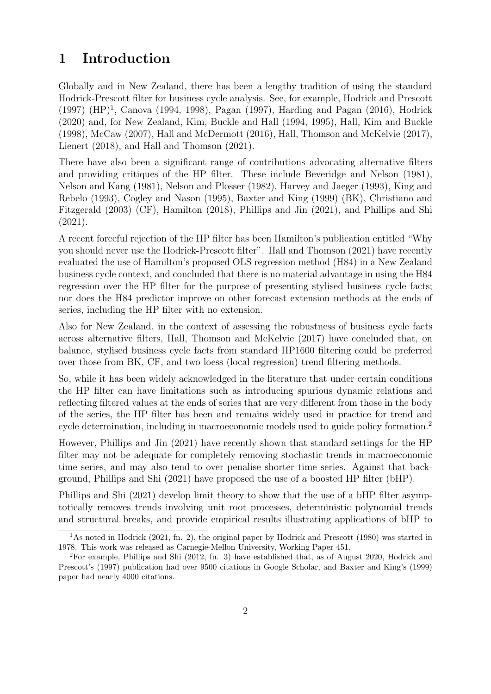# 1 Introduction

Globally and in New Zealand, there has been a lengthy tradition of using the standard Hodrick-Prescott filter for business cycle analysis. See, for example, Hodrick and Prescott (1997) (HP)<sup>1</sup>, Canova (1994, 1998), Pagan (1997), Harding and Pagan (2016), Hodrick (2020) and, for New Zealand, Kim, Buckle and Hall (1994, 1995), Hall, Kim and Buckle (1998), McCaw (2007), Hall and McDermott (2016), Hall, Thomson and McKelvie (2017), Lienert (2018), and Hall and Thomson (2021).

There have also been a significant range of contributions advocating alternative filters and providing critiques of the HP filter. These include Beveridge and Nelson (1981), Nelson and Kang (1981), Nelson and Plosser (1982), Harvey and Jaeger (1993), King and Rebelo (1993), Cogley and Nason (1995), Baxter and King (1999) (BK), Christiano and Fitzgerald (2003) (CF), Hamilton (2018), Phillips and Jin (2021), and Phillips and Shi (2021).

A recent forceful rejection of the HP filter has been Hamilton's publication entitled "Why you should never use the Hodrick-Prescott filter". Hall and Thomson (2021) have recently evaluated the use of Hamilton's proposed OLS regression method (H84) in a New Zealand business cycle context, and concluded that there is no material advantage in using the H84 regression over the HP filter for the purpose of presenting stylised business cycle facts; nor does the H84 predictor improve on other forecast extension methods at the ends of series, including the HP filter with no extension.

Also for New Zealand, in the context of assessing the robustness of business cycle facts across alternative filters, Hall, Thomson and McKelvie (2017) have concluded that, on balance, stylised business cycle facts from standard HP1600 filtering could be preferred over those from BK, CF, and two loess (local regression) trend filtering methods.

So, while it has been widely acknowledged in the literature that under certain conditions the HP filter can have limitations such as introducing spurious dynamic relations and reflecting filtered values at the ends of series that are very different from those in the body of the series, the HP filter has been and remains widely used in practice for trend and cycle determination, including in macroeconomic models used to guide policy formation.<sup>2</sup>

However, Phillips and Jin (2021) have recently shown that standard settings for the HP filter may not be adequate for completely removing stochastic trends in macroeconomic time series, and may also tend to over penalise shorter time series. Against that background, Phillips and Shi (2021) have proposed the use of a boosted HP filter (bHP).

Phillips and Shi (2021) develop limit theory to show that the use of a bHP filter asymptotically removes trends involving unit root processes, deterministic polynomial trends and structural breaks, and provide empirical results illustrating applications of bHP to

<sup>&</sup>lt;sup>1</sup>As noted in Hodrick (2021, fn. 2), the original paper by Hodrick and Prescott (1980) was started in 1978. This work was released as Carnegie-Mellon University, Working Paper 451.

<sup>2</sup>For example, Phillips and Shi (2012, fn. 3) have established that, as of August 2020, Hodrick and Prescott's (1997) publication had over 9500 citations in Google Scholar, and Baxter and King's (1999) paper had nearly 4000 citations.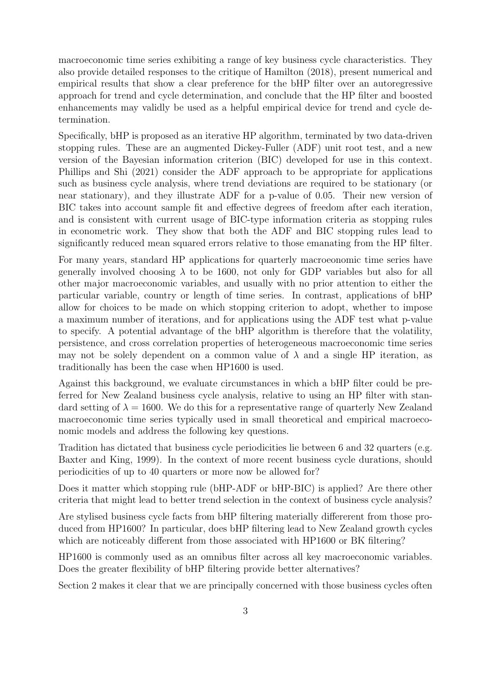macroeconomic time series exhibiting a range of key business cycle characteristics. They also provide detailed responses to the critique of Hamilton (2018), present numerical and empirical results that show a clear preference for the bHP filter over an autoregressive approach for trend and cycle determination, and conclude that the HP filter and boosted enhancements may validly be used as a helpful empirical device for trend and cycle determination.

Specifically, bHP is proposed as an iterative HP algorithm, terminated by two data-driven stopping rules. These are an augmented Dickey-Fuller (ADF) unit root test, and a new version of the Bayesian information criterion (BIC) developed for use in this context. Phillips and Shi (2021) consider the ADF approach to be appropriate for applications such as business cycle analysis, where trend deviations are required to be stationary (or near stationary), and they illustrate ADF for a p-value of 0.05. Their new version of BIC takes into account sample fit and effective degrees of freedom after each iteration, and is consistent with current usage of BIC-type information criteria as stopping rules in econometric work. They show that both the ADF and BIC stopping rules lead to significantly reduced mean squared errors relative to those emanating from the HP filter.

For many years, standard HP applications for quarterly macroeonomic time series have generally involved choosing  $\lambda$  to be 1600, not only for GDP variables but also for all other major macroeconomic variables, and usually with no prior attention to either the particular variable, country or length of time series. In contrast, applications of bHP allow for choices to be made on which stopping criterion to adopt, whether to impose a maximum number of iterations, and for applications using the ADF test what p-value to specify. A potential advantage of the bHP algorithm is therefore that the volatility, persistence, and cross correlation properties of heterogeneous macroeconomic time series may not be solely dependent on a common value of  $\lambda$  and a single HP iteration, as traditionally has been the case when HP1600 is used.

Against this background, we evaluate circumstances in which a bHP filter could be preferred for New Zealand business cycle analysis, relative to using an HP filter with standard setting of  $\lambda = 1600$ . We do this for a representative range of quarterly New Zealand macroeconomic time series typically used in small theoretical and empirical macroeconomic models and address the following key questions.

Tradition has dictated that business cycle periodicities lie between 6 and 32 quarters (e.g. Baxter and King, 1999). In the context of more recent business cycle durations, should periodicities of up to 40 quarters or more now be allowed for?

Does it matter which stopping rule (bHP-ADF or bHP-BIC) is applied? Are there other criteria that might lead to better trend selection in the context of business cycle analysis?

Are stylised business cycle facts from bHP filtering materially differerent from those produced from HP1600? In particular, does bHP filtering lead to New Zealand growth cycles which are noticeably different from those associated with HP1600 or BK filtering?

HP1600 is commonly used as an omnibus filter across all key macroeconomic variables. Does the greater flexibility of bHP filtering provide better alternatives?

Section 2 makes it clear that we are principally concerned with those business cycles often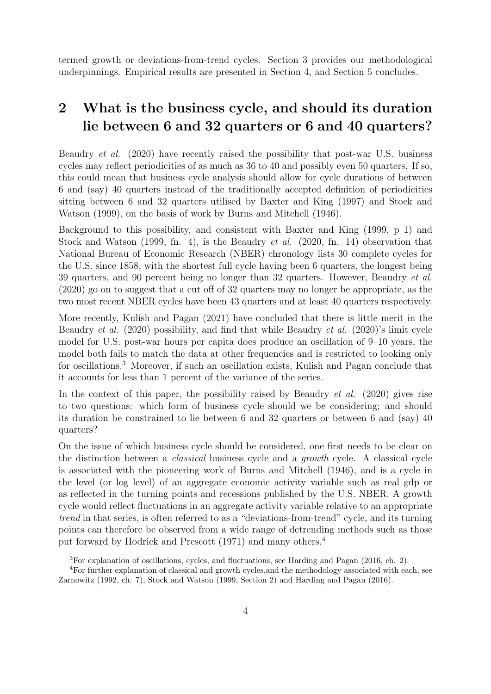termed growth or deviations-from-trend cycles. Section 3 provides our methodological underpinnings. Empirical results are presented in Section 4, and Section 5 concludes.

# 2 What is the business cycle, and should its duration lie between 6 and 32 quarters or 6 and 40 quarters?

Beaudry et al. (2020) have recently raised the possibility that post-war U.S. business cycles may reflect periodicities of as much as 36 to 40 and possibly even 50 quarters. If so, this could mean that business cycle analysis should allow for cycle durations of between 6 and (say) 40 quarters instead of the traditionally accepted definition of periodicities sitting between 6 and 32 quarters utilised by Baxter and King (1997) and Stock and Watson (1999), on the basis of work by Burns and Mitchell (1946).

Background to this possibility, and consistent with Baxter and King (1999, p 1) and Stock and Watson (1999, fn. 4), is the Beaudry et al. (2020, fn. 14) observation that National Bureau of Economic Research (NBER) chronology lists 30 complete cycles for the U.S. since 1858, with the shortest full cycle having been 6 quarters, the longest being 39 quarters, and 90 percent being no longer than 32 quarters. However, Beaudry *et al.* (2020) go on to suggest that a cut off of 32 quarters may no longer be appropriate, as the two most recent NBER cycles have been 43 quarters and at least 40 quarters respectively.

More recently, Kulish and Pagan (2021) have concluded that there is little merit in the Beaudry et al. (2020) possibility, and find that while Beaudry et al. (2020)'s limit cycle model for U.S. post-war hours per capita does produce an oscillation of 9–10 years, the model both fails to match the data at other frequencies and is restricted to looking only for oscillations.<sup>3</sup> Moreover, if such an oscillation exists, Kulish and Pagan conclude that it accounts for less than 1 percent of the variance of the series.

In the context of this paper, the possibility raised by Beaudry *et al.* (2020) gives rise to two questions: which form of business cycle should we be considering; and should its duration be constrained to lie between 6 and 32 quarters or between 6 and (say) 40 quarters?

On the issue of which business cycle should be considered, one first needs to be clear on the distinction between a classical business cycle and a growth cycle. A classical cycle is associated with the pioneering work of Burns and Mitchell (1946), and is a cycle in the level (or log level) of an aggregate economic activity variable such as real gdp or as reflected in the turning points and recessions published by the U.S. NBER. A growth cycle would reflect fluctuations in an aggregate activity variable relative to an appropriate trend in that series, is often referred to as a "deviations-from-trend" cycle, and its turning points can therefore be observed from a wide range of detrending methods such as those put forward by Hodrick and Prescott (1971) and many others.<sup>4</sup>

<sup>3</sup>For explanation of oscillations, cycles, and fluctuations, see Harding and Pagan (2016, ch. 2).

<sup>4</sup>For further explanation of classical and growth cycles,and the methodology associated with each, see Zarnowitz (1992, ch. 7), Stock and Watson (1999, Section 2) and Harding and Pagan (2016).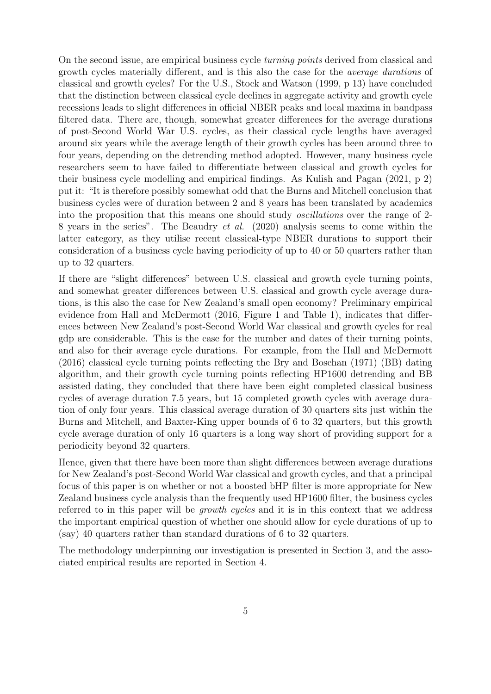On the second issue, are empirical business cycle turning points derived from classical and growth cycles materially different, and is this also the case for the average durations of classical and growth cycles? For the U.S., Stock and Watson (1999, p 13) have concluded that the distinction between classical cycle declines in aggregate activity and growth cycle recessions leads to slight differences in official NBER peaks and local maxima in bandpass filtered data. There are, though, somewhat greater differences for the average durations of post-Second World War U.S. cycles, as their classical cycle lengths have averaged around six years while the average length of their growth cycles has been around three to four years, depending on the detrending method adopted. However, many business cycle researchers seem to have failed to differentiate between classical and growth cycles for their business cycle modelling and empirical findings. As Kulish and Pagan (2021, p 2) put it: "It is therefore possibly somewhat odd that the Burns and Mitchell conclusion that business cycles were of duration between 2 and 8 years has been translated by academics into the proposition that this means one should study oscillations over the range of 2- 8 years in the series". The Beaudry et al. (2020) analysis seems to come within the latter category, as they utilise recent classical-type NBER durations to support their consideration of a business cycle having periodicity of up to 40 or 50 quarters rather than up to 32 quarters.

If there are "slight differences" between U.S. classical and growth cycle turning points, and somewhat greater differences between U.S. classical and growth cycle average durations, is this also the case for New Zealand's small open economy? Preliminary empirical evidence from Hall and McDermott (2016, Figure 1 and Table 1), indicates that differences between New Zealand's post-Second World War classical and growth cycles for real gdp are considerable. This is the case for the number and dates of their turning points, and also for their average cycle durations. For example, from the Hall and McDermott (2016) classical cycle turning points reflecting the Bry and Boschan (1971) (BB) dating algorithm, and their growth cycle turning points reflecting HP1600 detrending and BB assisted dating, they concluded that there have been eight completed classical business cycles of average duration 7.5 years, but 15 completed growth cycles with average duration of only four years. This classical average duration of 30 quarters sits just within the Burns and Mitchell, and Baxter-King upper bounds of 6 to 32 quarters, but this growth cycle average duration of only 16 quarters is a long way short of providing support for a periodicity beyond 32 quarters.

Hence, given that there have been more than slight differences between average durations for New Zealand's post-Second World War classical and growth cycles, and that a principal focus of this paper is on whether or not a boosted bHP filter is more appropriate for New Zealand business cycle analysis than the frequently used HP1600 filter, the business cycles referred to in this paper will be growth cycles and it is in this context that we address the important empirical question of whether one should allow for cycle durations of up to (say) 40 quarters rather than standard durations of 6 to 32 quarters.

The methodology underpinning our investigation is presented in Section 3, and the associated empirical results are reported in Section 4.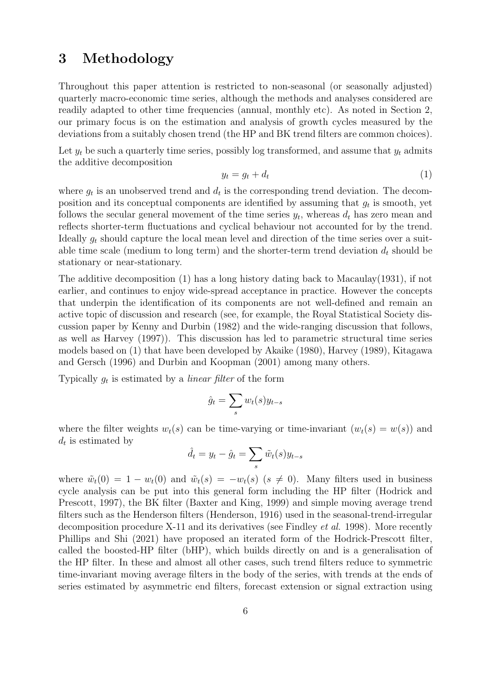## 3 Methodology

Throughout this paper attention is restricted to non-seasonal (or seasonally adjusted) quarterly macro-economic time series, although the methods and analyses considered are readily adapted to other time frequencies (annual, monthly etc). As noted in Section 2, our primary focus is on the estimation and analysis of growth cycles measured by the deviations from a suitably chosen trend (the HP and BK trend filters are common choices).

Let  $y_t$  be such a quarterly time series, possibly log transformed, and assume that  $y_t$  admits the additive decomposition

$$
y_t = g_t + d_t \tag{1}
$$

where  $g_t$  is an unobserved trend and  $d_t$  is the corresponding trend deviation. The decomposition and its conceptual components are identified by assuming that  $g_t$  is smooth, yet follows the secular general movement of the time series  $y_t$ , whereas  $d_t$  has zero mean and reflects shorter-term fluctuations and cyclical behaviour not accounted for by the trend. Ideally  $q_t$  should capture the local mean level and direction of the time series over a suitable time scale (medium to long term) and the shorter-term trend deviation  $d_t$  should be stationary or near-stationary.

The additive decomposition (1) has a long history dating back to Macaulay(1931), if not earlier, and continues to enjoy wide-spread acceptance in practice. However the concepts that underpin the identification of its components are not well-defined and remain an active topic of discussion and research (see, for example, the Royal Statistical Society discussion paper by Kenny and Durbin (1982) and the wide-ranging discussion that follows, as well as Harvey (1997)). This discussion has led to parametric structural time series models based on (1) that have been developed by Akaike (1980), Harvey (1989), Kitagawa and Gersch (1996) and Durbin and Koopman (2001) among many others.

Typically  $g_t$  is estimated by a *linear filter* of the form

$$
\hat{g}_t = \sum_s w_t(s) y_{t-s}
$$

where the filter weights  $w_t(s)$  can be time-varying or time-invariant  $(w_t(s) = w(s))$  and  $d_t$  is estimated by

$$
\hat{d}_t = y_t - \hat{g}_t = \sum_s \tilde{w}_t(s) y_{t-s}
$$

where  $\tilde{w}_t(0) = 1 - w_t(0)$  and  $\tilde{w}_t(s) = -w_t(s)$   $(s \neq 0)$ . Many filters used in business cycle analysis can be put into this general form including the HP filter (Hodrick and Prescott, 1997), the BK filter (Baxter and King, 1999) and simple moving average trend filters such as the Henderson filters (Henderson, 1916) used in the seasonal-trend-irregular decomposition procedure X-11 and its derivatives (see Findley et al. 1998). More recently Phillips and Shi (2021) have proposed an iterated form of the Hodrick-Prescott filter, called the boosted-HP filter (bHP), which builds directly on and is a generalisation of the HP filter. In these and almost all other cases, such trend filters reduce to symmetric time-invariant moving average filters in the body of the series, with trends at the ends of series estimated by asymmetric end filters, forecast extension or signal extraction using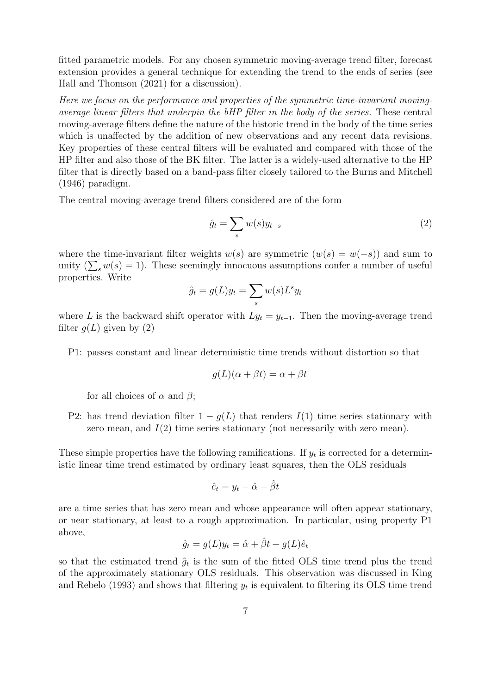fitted parametric models. For any chosen symmetric moving-average trend filter, forecast extension provides a general technique for extending the trend to the ends of series (see Hall and Thomson (2021) for a discussion).

Here we focus on the performance and properties of the symmetric time-invariant movingaverage linear filters that underpin the bHP filter in the body of the series. These central moving-average filters define the nature of the historic trend in the body of the time series which is unaffected by the addition of new observations and any recent data revisions. Key properties of these central filters will be evaluated and compared with those of the HP filter and also those of the BK filter. The latter is a widely-used alternative to the HP filter that is directly based on a band-pass filter closely tailored to the Burns and Mitchell (1946) paradigm.

The central moving-average trend filters considered are of the form

$$
\hat{g}_t = \sum_s w(s) y_{t-s} \tag{2}
$$

where the time-invariant filter weights  $w(s)$  are symmetric  $(w(s) = w(-s))$  and sum to unity  $(\sum_{s} w(s) = 1)$ . These seemingly innocuous assumptions confer a number of useful properties. Write

$$
\hat{g}_t = g(L)y_t = \sum_s w(s)L^s y_t
$$

where L is the backward shift operator with  $Ly_t = y_{t-1}$ . Then the moving-average trend filter  $q(L)$  given by (2)

P1: passes constant and linear deterministic time trends without distortion so that

$$
g(L)(\alpha + \beta t) = \alpha + \beta t
$$

for all choices of  $\alpha$  and  $\beta$ ;

P2: has trend deviation filter  $1 - g(L)$  that renders  $I(1)$  time series stationary with zero mean, and  $I(2)$  time series stationary (not necessarily with zero mean).

These simple properties have the following ramifications. If  $y_t$  is corrected for a deterministic linear time trend estimated by ordinary least squares, then the OLS residuals

$$
\hat{e}_t = y_t - \hat{\alpha} - \hat{\beta}t
$$

are a time series that has zero mean and whose appearance will often appear stationary, or near stationary, at least to a rough approximation. In particular, using property P1 above,

$$
\hat{g}_t = g(L)y_t = \hat{\alpha} + \hat{\beta}t + g(L)\hat{e}_t
$$

so that the estimated trend  $\hat{g}_t$  is the sum of the fitted OLS time trend plus the trend of the approximately stationary OLS residuals. This observation was discussed in King and Rebelo (1993) and shows that filtering  $y_t$  is equivalent to filtering its OLS time trend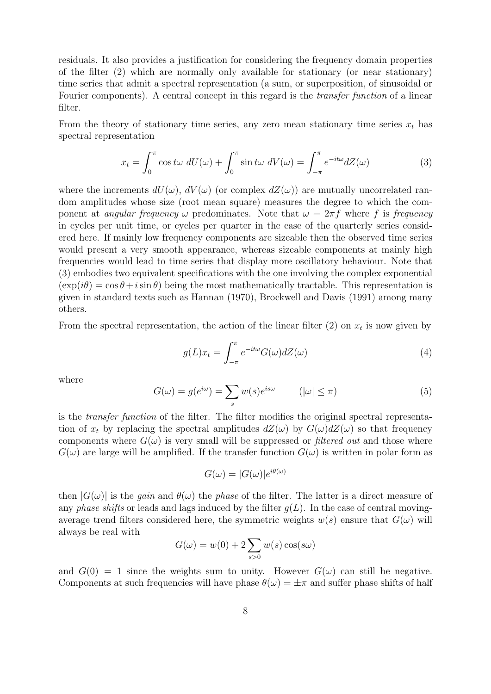residuals. It also provides a justification for considering the frequency domain properties of the filter (2) which are normally only available for stationary (or near stationary) time series that admit a spectral representation (a sum, or superposition, of sinusoidal or Fourier components). A central concept in this regard is the *transfer function* of a linear filter.

From the theory of stationary time series, any zero mean stationary time series  $x_t$  has spectral representation

$$
x_t = \int_0^{\pi} \cos t\omega \, dU(\omega) + \int_0^{\pi} \sin t\omega \, dV(\omega) = \int_{-\pi}^{\pi} e^{-it\omega} dZ(\omega) \tag{3}
$$

where the increments  $dU(\omega)$ ,  $dV(\omega)$  (or complex  $dZ(\omega)$ ) are mutually uncorrelated random amplitudes whose size (root mean square) measures the degree to which the component at *angular frequency*  $\omega$  predominates. Note that  $\omega = 2\pi f$  where f is frequency in cycles per unit time, or cycles per quarter in the case of the quarterly series considered here. If mainly low frequency components are sizeable then the observed time series would present a very smooth appearance, whereas sizeable components at mainly high frequencies would lead to time series that display more oscillatory behaviour. Note that (3) embodies two equivalent specifications with the one involving the complex exponential  $(\exp(i\theta) = \cos\theta + i\sin\theta)$  being the most mathematically tractable. This representation is given in standard texts such as Hannan (1970), Brockwell and Davis (1991) among many others.

From the spectral representation, the action of the linear filter  $(2)$  on  $x_t$  is now given by

$$
g(L)x_t = \int_{-\pi}^{\pi} e^{-it\omega} G(\omega) dZ(\omega)
$$
\n(4)

where

$$
G(\omega) = g(e^{i\omega}) = \sum_{s} w(s)e^{is\omega} \qquad (|\omega| \le \pi)
$$
 (5)

is the transfer function of the filter. The filter modifies the original spectral representation of  $x_t$  by replacing the spectral amplitudes  $dZ(\omega)$  by  $G(\omega)dZ(\omega)$  so that frequency components where  $G(\omega)$  is very small will be suppressed or *filtered out* and those where  $G(\omega)$  are large will be amplified. If the transfer function  $G(\omega)$  is written in polar form as

$$
G(\omega) = |G(\omega)|e^{i\theta(\omega)}
$$

then  $|G(\omega)|$  is the gain and  $\theta(\omega)$  the phase of the filter. The latter is a direct measure of any phase shifts or leads and lags induced by the filter  $q(L)$ . In the case of central movingaverage trend filters considered here, the symmetric weights  $w(s)$  ensure that  $G(\omega)$  will always be real with

$$
G(\omega) = w(0) + 2 \sum_{s>0} w(s) \cos(s\omega)
$$

and  $G(0) = 1$  since the weights sum to unity. However  $G(\omega)$  can still be negative. Components at such frequencies will have phase  $\theta(\omega) = \pm \pi$  and suffer phase shifts of half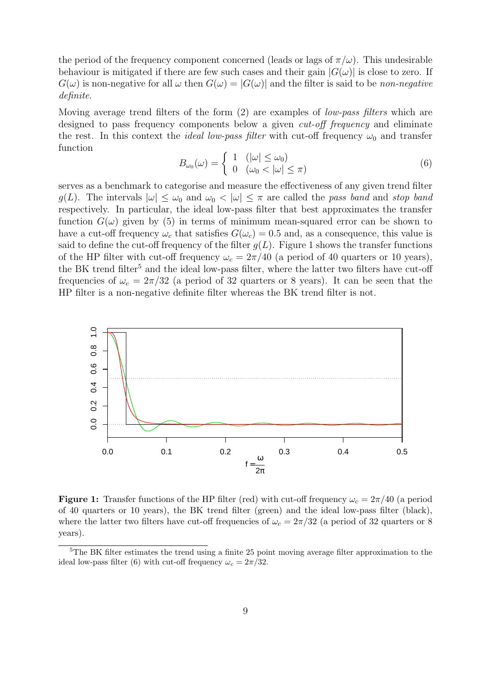the period of the frequency component concerned (leads or lags of  $\pi/\omega$ ). This undesirable behaviour is mitigated if there are few such cases and their gain  $|G(\omega)|$  is close to zero. If  $G(\omega)$  is non-negative for all  $\omega$  then  $G(\omega) = |G(\omega)|$  and the filter is said to be non-negative definite.

Moving average trend filters of the form (2) are examples of *low-pass filters* which are designed to pass frequency components below a given *cut-off frequency* and eliminate the rest. In this context the *ideal low-pass filter* with cut-off frequency  $\omega_0$  and transfer function

$$
B_{\omega_0}(\omega) = \begin{cases} 1 & (|\omega| \le \omega_0) \\ 0 & (\omega_0 < |\omega| \le \pi) \end{cases}
$$
 (6)

serves as a benchmark to categorise and measure the effectiveness of any given trend filter g(L). The intervals  $|\omega| \leq \omega_0$  and  $\omega_0 < |\omega| \leq \pi$  are called the pass band and stop band respectively. In particular, the ideal low-pass filter that best approximates the transfer function  $G(\omega)$  given by (5) in terms of minimum mean-squared error can be shown to have a cut-off frequency  $\omega_c$  that satisfies  $G(\omega_c) = 0.5$  and, as a consequence, this value is said to define the cut-off frequency of the filter  $g(L)$ . Figure 1 shows the transfer functions of the HP filter with cut-off frequency  $\omega_c = 2\pi/40$  (a period of 40 quarters or 10 years), the BK trend filter<sup>5</sup> and the ideal low-pass filter, where the latter two filters have cut-off frequencies of  $\omega_c = 2\pi/32$  (a period of 32 quarters or 8 years). It can be seen that the HP filter is a non-negative definite filter whereas the BK trend filter is not.



**Figure 1:** Transfer functions of the HP filter (red) with cut-off frequency  $\omega_c = 2\pi/40$  (a period of 40 quarters or 10 years), the BK trend filter (green) and the ideal low-pass filter (black), where the latter two filters have cut-off frequencies of  $\omega_c = 2\pi/32$  (a period of 32 quarters or 8 years).

<sup>5</sup>The BK filter estimates the trend using a finite 25 point moving average filter approximation to the ideal low-pass filter (6) with cut-off frequency  $\omega_c = 2\pi/32$ .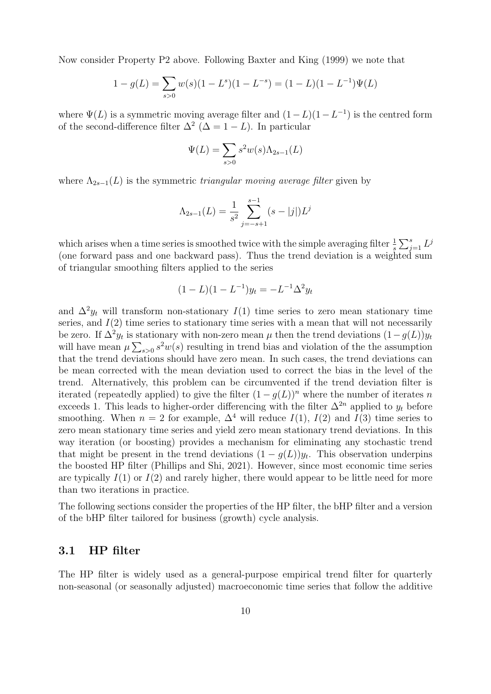Now consider Property P2 above. Following Baxter and King (1999) we note that

$$
1 - g(L) = \sum_{s>0} w(s)(1 - L^s)(1 - L^{-s}) = (1 - L)(1 - L^{-1})\Psi(L)
$$

where  $\Psi(L)$  is a symmetric moving average filter and  $(1 - L)(1 - L^{-1})$  is the centred form of the second-difference filter  $\Delta^2$  ( $\Delta = 1 - L$ ). In particular

$$
\Psi(L) = \sum_{s>0} s^2 w(s) \Lambda_{2s-1}(L)
$$

where  $\Lambda_{2s-1}(L)$  is the symmetric triangular moving average filter given by

$$
\Lambda_{2s-1}(L) = \frac{1}{s^2} \sum_{j=-s+1}^{s-1} (s - |j|) L^j
$$

which arises when a time series is smoothed twice with the simple averaging filter  $\frac{1}{s} \sum_{j=1}^{s} L^j$ (one forward pass and one backward pass). Thus the trend deviation is a weighted sum of triangular smoothing filters applied to the series

$$
(1 - L)(1 - L^{-1})y_t = -L^{-1}\Delta^2 y_t
$$

and  $\Delta^2 y_t$  will transform non-stationary  $I(1)$  time series to zero mean stationary time series, and  $I(2)$  time series to stationary time series with a mean that will not necessarily be zero. If  $\Delta^2 y_t$  is stationary with non-zero mean  $\mu$  then the trend deviations  $(1-g(L))y_t$ will have mean  $\mu \sum_{s>0} s^2 w(s)$  resulting in trend bias and violation of the the assumption that the trend deviations should have zero mean. In such cases, the trend deviations can be mean corrected with the mean deviation used to correct the bias in the level of the trend. Alternatively, this problem can be circumvented if the trend deviation filter is iterated (repeatedly applied) to give the filter  $(1 - q(L))^n$  where the number of iterates n exceeds 1. This leads to higher-order differencing with the filter  $\Delta^{2n}$  applied to  $y_t$  before smoothing. When  $n = 2$  for example,  $\Delta^4$  will reduce  $I(1)$ ,  $I(2)$  and  $I(3)$  time series to zero mean stationary time series and yield zero mean stationary trend deviations. In this way iteration (or boosting) provides a mechanism for eliminating any stochastic trend that might be present in the trend deviations  $(1 - g(L))y_t$ . This observation underpins the boosted HP filter (Phillips and Shi, 2021). However, since most economic time series are typically  $I(1)$  or  $I(2)$  and rarely higher, there would appear to be little need for more than two iterations in practice.

The following sections consider the properties of the HP filter, the bHP filter and a version of the bHP filter tailored for business (growth) cycle analysis.

#### 3.1 HP filter

The HP filter is widely used as a general-purpose empirical trend filter for quarterly non-seasonal (or seasonally adjusted) macroeconomic time series that follow the additive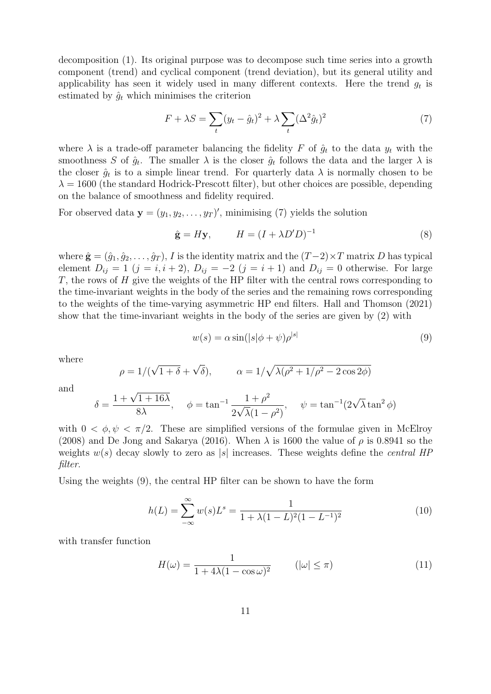decomposition (1). Its original purpose was to decompose such time series into a growth component (trend) and cyclical component (trend deviation), but its general utility and applicability has seen it widely used in many different contexts. Here the trend  $g_t$  is estimated by  $\hat{q}_t$  which minimises the criterion

$$
F + \lambda S = \sum_{t} (y_t - \hat{g}_t)^2 + \lambda \sum_{t} (\Delta^2 \hat{g}_t)^2
$$
\n<sup>(7)</sup>

where  $\lambda$  is a trade-off parameter balancing the fidelity F of  $\hat{g}_t$  to the data  $y_t$  with the smoothness S of  $\hat{g}_t$ . The smaller  $\lambda$  is the closer  $\hat{g}_t$  follows the data and the larger  $\lambda$  is the closer  $\hat{g}_t$  is to a simple linear trend. For quarterly data  $\lambda$  is normally chosen to be  $\lambda = 1600$  (the standard Hodrick-Prescott filter), but other choices are possible, depending on the balance of smoothness and fidelity required.

For observed data  $\mathbf{y} = (y_1, y_2, \dots, y_T)'$ , minimising (7) yields the solution

$$
\hat{\mathbf{g}} = H\mathbf{y}, \qquad H = (I + \lambda D'D)^{-1} \tag{8}
$$

where  $\hat{\mathbf{g}} = (\hat{g}_1, \hat{g}_2, \dots, \hat{g}_T)$ , I is the identity matrix and the  $(T-2) \times T$  matrix D has typical element  $D_{ij} = 1$   $(j = i, i + 2), D_{ij} = -2$   $(j = i + 1)$  and  $D_{ij} = 0$  otherwise. For large  $T$ , the rows of  $H$  give the weights of the HP filter with the central rows corresponding to the time-invariant weights in the body of the series and the remaining rows corresponding to the weights of the time-varying asymmetric HP end filters. Hall and Thomson (2021) show that the time-invariant weights in the body of the series are given by (2) with

$$
w(s) = \alpha \sin(|s|\phi + \psi)\rho^{|s|} \tag{9}
$$

where

$$
\rho = 1/(\sqrt{1+\delta} + \sqrt{\delta}), \qquad \alpha = 1/\sqrt{\lambda(\rho^2 + 1/\rho^2 - 2\cos 2\phi)}
$$

and

$$
\delta = \frac{1 + \sqrt{1 + 16\lambda}}{8\lambda}, \quad \phi = \tan^{-1} \frac{1 + \rho^2}{2\sqrt{\lambda}(1 - \rho^2)}, \quad \psi = \tan^{-1}(2\sqrt{\lambda}\tan^2\phi)
$$

with  $0 < \phi, \psi < \pi/2$ . These are simplified versions of the formulae given in McElroy (2008) and De Jong and Sakarya (2016). When  $\lambda$  is 1600 the value of  $\rho$  is 0.8941 so the weights  $w(s)$  decay slowly to zero as |s| increases. These weights define the *central HP* filter.

Using the weights (9), the central HP filter can be shown to have the form

$$
h(L) = \sum_{-\infty}^{\infty} w(s) L^s = \frac{1}{1 + \lambda (1 - L)^2 (1 - L^{-1})^2}
$$
(10)

with transfer function

$$
H(\omega) = \frac{1}{1 + 4\lambda(1 - \cos \omega)^2} \qquad (|\omega| \le \pi)
$$
 (11)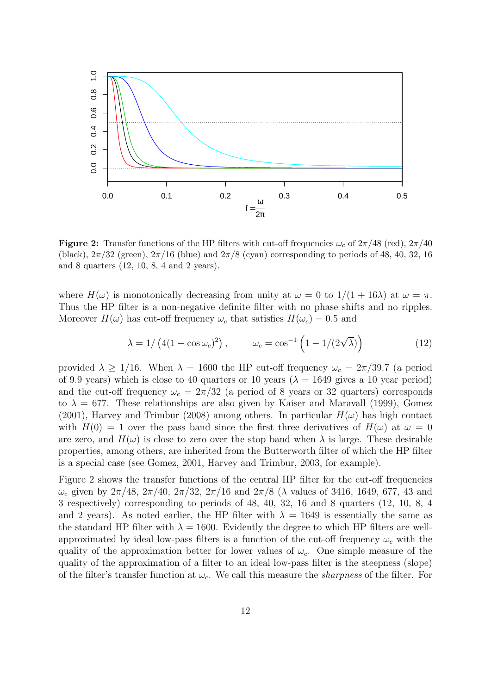

**Figure 2:** Transfer functions of the HP filters with cut-off frequencies  $\omega_c$  of  $2\pi/48$  (red),  $2\pi/40$ (black),  $2\pi/32$  (green),  $2\pi/16$  (blue) and  $2\pi/8$  (cyan) corresponding to periods of 48, 40, 32, 16 and 8 quarters (12, 10, 8, 4 and 2 years).

where  $H(\omega)$  is monotonically decreasing from unity at  $\omega = 0$  to  $1/(1+16\lambda)$  at  $\omega = \pi$ . Thus the HP filter is a non-negative definite filter with no phase shifts and no ripples. Moreover  $H(\omega)$  has cut-off frequency  $\omega_c$  that satisfies  $H(\omega_c) = 0.5$  and

$$
\lambda = 1/\left(4(1 - \cos \omega_c)^2\right), \qquad \omega_c = \cos^{-1}\left(1 - 1/(2\sqrt{\lambda})\right) \tag{12}
$$

provided  $\lambda \geq 1/16$ . When  $\lambda = 1600$  the HP cut-off frequency  $\omega_c = 2\pi/39.7$  (a period of 9.9 years) which is close to 40 quarters or 10 years ( $\lambda = 1649$  gives a 10 year period) and the cut-off frequency  $\omega_c = 2\pi/32$  (a period of 8 years or 32 quarters) corresponds to  $\lambda = 677$ . These relationships are also given by Kaiser and Maravall (1999), Gomez (2001), Harvey and Trimbur (2008) among others. In particular  $H(\omega)$  has high contact with  $H(0) = 1$  over the pass band since the first three derivatives of  $H(\omega)$  at  $\omega = 0$ are zero, and  $H(\omega)$  is close to zero over the stop band when  $\lambda$  is large. These desirable properties, among others, are inherited from the Butterworth filter of which the HP filter is a special case (see Gomez, 2001, Harvey and Trimbur, 2003, for example).

Figure 2 shows the transfer functions of the central HP filter for the cut-off frequencies  $ω<sub>c</sub>$  given by  $2π/48$ ,  $2π/40$ ,  $2π/32$ ,  $2π/16$  and  $2π/8$  (λ values of 3416, 1649, 677, 43 and 3 respectively) corresponding to periods of 48, 40, 32, 16 and 8 quarters (12, 10, 8, 4 and 2 years). As noted earlier, the HP filter with  $\lambda = 1649$  is essentially the same as the standard HP filter with  $\lambda = 1600$ . Evidently the degree to which HP filters are wellapproximated by ideal low-pass filters is a function of the cut-off frequency  $\omega_c$  with the quality of the approximation better for lower values of  $\omega_c$ . One simple measure of the quality of the approximation of a filter to an ideal low-pass filter is the steepness (slope) of the filter's transfer function at  $\omega_c$ . We call this measure the *sharpness* of the filter. For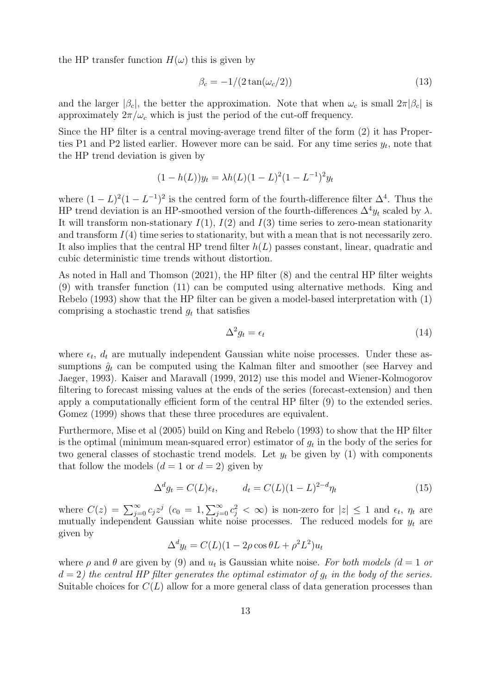the HP transfer function  $H(\omega)$  this is given by

$$
\beta_c = -1/(2\tan(\omega_c/2))\tag{13}
$$

and the larger  $|\beta_c|$ , the better the approximation. Note that when  $\omega_c$  is small  $2\pi |\beta_c|$  is approximately  $2\pi/\omega_c$  which is just the period of the cut-off frequency.

Since the HP filter is a central moving-average trend filter of the form (2) it has Properties P1 and P2 listed earlier. However more can be said. For any time series  $y_t$ , note that the HP trend deviation is given by

$$
(1 - h(L))y_t = \lambda h(L)(1 - L)^2 (1 - L^{-1})^2 y_t
$$

where  $(1 - L)^2 (1 - L^{-1})^2$  is the centred form of the fourth-difference filter  $\Delta^4$ . Thus the HP trend deviation is an HP-smoothed version of the fourth-differences  $\Delta^4 y_t$  scaled by  $\lambda$ . It will transform non-stationary  $I(1)$ ,  $I(2)$  and  $I(3)$  time series to zero-mean stationarity and transform  $I(4)$  time series to stationarity, but with a mean that is not necessarily zero. It also implies that the central HP trend filter  $h(L)$  passes constant, linear, quadratic and cubic deterministic time trends without distortion.

As noted in Hall and Thomson (2021), the HP filter (8) and the central HP filter weights (9) with transfer function (11) can be computed using alternative methods. King and Rebelo (1993) show that the HP filter can be given a model-based interpretation with (1) comprising a stochastic trend  $g_t$  that satisfies

$$
\Delta^2 g_t = \epsilon_t \tag{14}
$$

where  $\epsilon_t$ ,  $d_t$  are mutually independent Gaussian white noise processes. Under these assumptions  $\hat{g}_t$  can be computed using the Kalman filter and smoother (see Harvey and Jaeger, 1993). Kaiser and Maravall (1999, 2012) use this model and Wiener-Kolmogorov filtering to forecast missing values at the ends of the series (forecast-extension) and then apply a computationally efficient form of the central HP filter (9) to the extended series. Gomez (1999) shows that these three procedures are equivalent.

Furthermore, Mise et al (2005) build on King and Rebelo (1993) to show that the HP filter is the optimal (minimum mean-squared error) estimator of  $g_t$  in the body of the series for two general classes of stochastic trend models. Let  $y_t$  be given by (1) with components that follow the models  $(d = 1 \text{ or } d = 2)$  given by

$$
\Delta^d g_t = C(L)\epsilon_t, \qquad d_t = C(L)(1-L)^{2-d}\eta_t \tag{15}
$$

where  $C(z) = \sum_{j=0}^{\infty} c_j z^j$   $(c_0 = 1, \sum_{j=0}^{\infty} c_j^2 < \infty)$  is non-zero for  $|z| \leq 1$  and  $\epsilon_t$ ,  $\eta_t$  are mutually independent Gaussian white noise processes. The reduced models for  $y_t$  are given by

$$
\Delta^d y_t = C(L)(1 - 2\rho \cos \theta L + \rho^2 L^2)u_t
$$

where  $\rho$  and  $\theta$  are given by (9) and  $u_t$  is Gaussian white noise. For both models ( $d = 1$  or  $d = 2$ ) the central HP filter generates the optimal estimator of  $g_t$  in the body of the series. Suitable choices for  $C(L)$  allow for a more general class of data generation processes than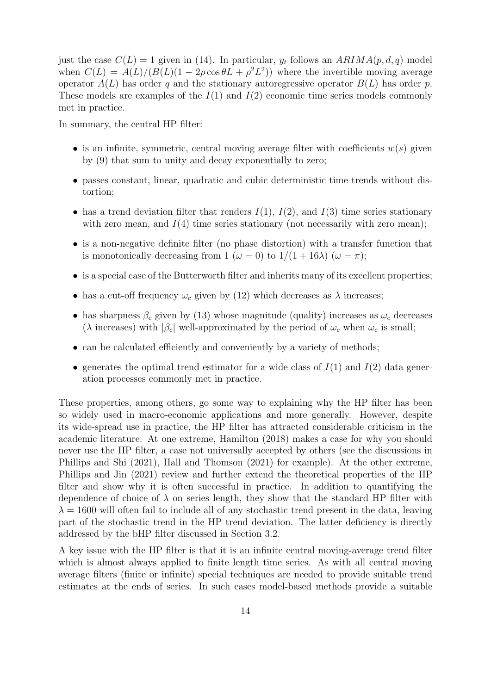just the case  $C(L) = 1$  given in (14). In particular,  $y_t$  follows an  $ARIMA(p, d, q)$  model when  $C(L) = A(L)/(B(L)(1 - 2\rho\cos\theta L + \rho^2 L^2))$  where the invertible moving average operator  $A(L)$  has order q and the stationary autoregressive operator  $B(L)$  has order p. These models are examples of the  $I(1)$  and  $I(2)$  economic time series models commonly met in practice.

In summary, the central HP filter:

- is an infinite, symmetric, central moving average filter with coefficients  $w(s)$  given by (9) that sum to unity and decay exponentially to zero;
- passes constant, linear, quadratic and cubic deterministic time trends without distortion;
- has a trend deviation filter that renders  $I(1)$ ,  $I(2)$ , and  $I(3)$  time series stationary with zero mean, and  $I(4)$  time series stationary (not necessarily with zero mean);
- is a non-negative definite filter (no phase distortion) with a transfer function that is monotonically decreasing from 1 ( $\omega = 0$ ) to  $1/(1 + 16\lambda)$  ( $\omega = \pi$ );
- is a special case of the Butterworth filter and inherits many of its excellent properties;
- has a cut-off frequency  $\omega_c$  given by (12) which decreases as  $\lambda$  increases;
- has sharpness  $\beta_c$  given by (13) whose magnitude (quality) increases as  $\omega_c$  decreases ( $\lambda$  increases) with  $|\beta_c|$  well-approximated by the period of  $\omega_c$  when  $\omega_c$  is small;
- can be calculated efficiently and conveniently by a variety of methods;
- generates the optimal trend estimator for a wide class of  $I(1)$  and  $I(2)$  data generation processes commonly met in practice.

These properties, among others, go some way to explaining why the HP filter has been so widely used in macro-economic applications and more generally. However, despite its wide-spread use in practice, the HP filter has attracted considerable criticism in the academic literature. At one extreme, Hamilton (2018) makes a case for why you should never use the HP filter, a case not universally accepted by others (see the discussions in Phillips and Shi (2021), Hall and Thomson (2021) for example). At the other extreme, Phillips and Jin (2021) review and further extend the theoretical properties of the HP filter and show why it is often successful in practice. In addition to quantifying the dependence of choice of  $\lambda$  on series length, they show that the standard HP filter with  $\lambda = 1600$  will often fail to include all of any stochastic trend present in the data, leaving part of the stochastic trend in the HP trend deviation. The latter deficiency is directly addressed by the bHP filter discussed in Section 3.2.

A key issue with the HP filter is that it is an infinite central moving-average trend filter which is almost always applied to finite length time series. As with all central moving average filters (finite or infinite) special techniques are needed to provide suitable trend estimates at the ends of series. In such cases model-based methods provide a suitable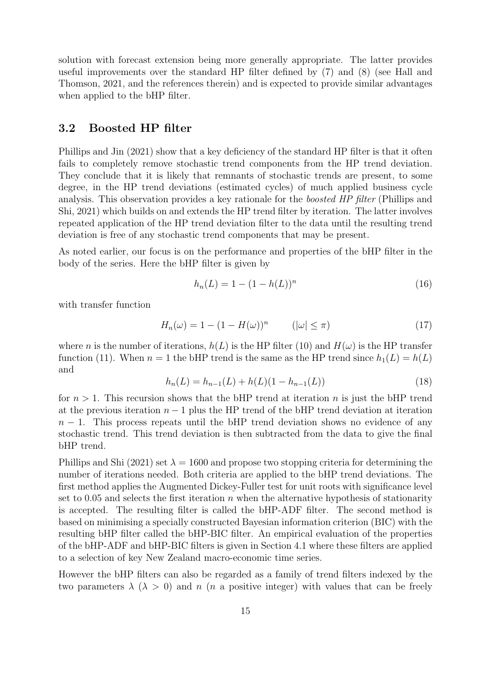solution with forecast extension being more generally appropriate. The latter provides useful improvements over the standard HP filter defined by (7) and (8) (see Hall and Thomson, 2021, and the references therein) and is expected to provide similar advantages when applied to the bHP filter.

#### 3.2 Boosted HP filter

Phillips and Jin (2021) show that a key deficiency of the standard HP filter is that it often fails to completely remove stochastic trend components from the HP trend deviation. They conclude that it is likely that remnants of stochastic trends are present, to some degree, in the HP trend deviations (estimated cycles) of much applied business cycle analysis. This observation provides a key rationale for the *boosted HP filter* (Phillips and Shi, 2021) which builds on and extends the HP trend filter by iteration. The latter involves repeated application of the HP trend deviation filter to the data until the resulting trend deviation is free of any stochastic trend components that may be present.

As noted earlier, our focus is on the performance and properties of the bHP filter in the body of the series. Here the bHP filter is given by

$$
h_n(L) = 1 - (1 - h(L))^n \tag{16}
$$

with transfer function

$$
H_n(\omega) = 1 - (1 - H(\omega))^n \qquad (|\omega| \le \pi)
$$
\n<sup>(17)</sup>

where n is the number of iterations,  $h(L)$  is the HP filter (10) and  $H(\omega)$  is the HP transfer function (11). When  $n = 1$  the bHP trend is the same as the HP trend since  $h_1(L) = h(L)$ and

$$
h_n(L) = h_{n-1}(L) + h(L)(1 - h_{n-1}(L))
$$
\n(18)

for  $n > 1$ . This recursion shows that the bHP trend at iteration n is just the bHP trend at the previous iteration  $n-1$  plus the HP trend of the bHP trend deviation at iteration  $n-1$ . This process repeats until the bHP trend deviation shows no evidence of any stochastic trend. This trend deviation is then subtracted from the data to give the final bHP trend.

Phillips and Shi (2021) set  $\lambda = 1600$  and propose two stopping criteria for determining the number of iterations needed. Both criteria are applied to the bHP trend deviations. The first method applies the Augmented Dickey-Fuller test for unit roots with significance level set to 0.05 and selects the first iteration  $n$  when the alternative hypothesis of stationarity is accepted. The resulting filter is called the bHP-ADF filter. The second method is based on minimising a specially constructed Bayesian information criterion (BIC) with the resulting bHP filter called the bHP-BIC filter. An empirical evaluation of the properties of the bHP-ADF and bHP-BIC filters is given in Section 4.1 where these filters are applied to a selection of key New Zealand macro-economic time series.

However the bHP filters can also be regarded as a family of trend filters indexed by the two parameters  $\lambda$  ( $\lambda > 0$ ) and n (n a positive integer) with values that can be freely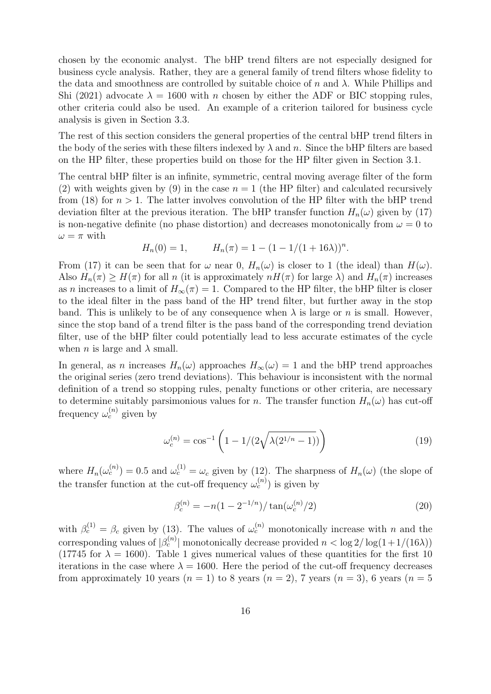chosen by the economic analyst. The bHP trend filters are not especially designed for business cycle analysis. Rather, they are a general family of trend filters whose fidelity to the data and smoothness are controlled by suitable choice of n and  $\lambda$ . While Phillips and Shi (2021) advocate  $\lambda = 1600$  with n chosen by either the ADF or BIC stopping rules, other criteria could also be used. An example of a criterion tailored for business cycle analysis is given in Section 3.3.

The rest of this section considers the general properties of the central bHP trend filters in the body of the series with these filters indexed by  $\lambda$  and n. Since the bHP filters are based on the HP filter, these properties build on those for the HP filter given in Section 3.1.

The central bHP filter is an infinite, symmetric, central moving average filter of the form (2) with weights given by (9) in the case  $n = 1$  (the HP filter) and calculated recursively from (18) for  $n > 1$ . The latter involves convolution of the HP filter with the bHP trend deviation filter at the previous iteration. The bHP transfer function  $H_n(\omega)$  given by (17) is non-negative definite (no phase distortion) and decreases monotonically from  $\omega = 0$  to  $\omega=\pi$  with

$$
H_n(0) = 1, \qquad H_n(\pi) = 1 - (1 - 1/(1 + 16\lambda))^n.
$$

From (17) it can be seen that for  $\omega$  near 0,  $H_n(\omega)$  is closer to 1 (the ideal) than  $H(\omega)$ . Also  $H_n(\pi) \geq H(\pi)$  for all n (it is approximately  $nH(\pi)$  for large  $\lambda$ ) and  $H_n(\pi)$  increases as n increases to a limit of  $H_{\infty}(\pi) = 1$ . Compared to the HP filter, the bHP filter is closer to the ideal filter in the pass band of the HP trend filter, but further away in the stop band. This is unlikely to be of any consequence when  $\lambda$  is large or n is small. However, since the stop band of a trend filter is the pass band of the corresponding trend deviation filter, use of the bHP filter could potentially lead to less accurate estimates of the cycle when *n* is large and  $\lambda$  small.

In general, as n increases  $H_n(\omega)$  approaches  $H_\infty(\omega) = 1$  and the bHP trend approaches the original series (zero trend deviations). This behaviour is inconsistent with the normal definition of a trend so stopping rules, penalty functions or other criteria, are necessary to determine suitably parsimonious values for n. The transfer function  $H_n(\omega)$  has cut-off frequency  $\omega_c^{(n)}$  given by

$$
\omega_c^{(n)} = \cos^{-1}\left(1 - 1/(2\sqrt{\lambda(2^{1/n} - 1)})\right)
$$
(19)

where  $H_n(\omega_c^{(n)}) = 0.5$  and  $\omega_c^{(1)} = \omega_c$  given by (12). The sharpness of  $H_n(\omega)$  (the slope of the transfer function at the cut-off frequency  $\omega_c^{(n)}$ ) is given by

$$
\beta_c^{(n)} = -n(1 - 2^{-1/n})/\tan(\omega_c^{(n)}/2)
$$
\n(20)

with  $\beta_c^{(1)} = \beta_c$  given by (13). The values of  $\omega_c^{(n)}$  monotonically increase with n and the corresponding values of  $|\beta_c^{(n)}|$  monotonically decrease provided  $n < \log 2/\log(1+1/(16\lambda))$ (17745 for  $\lambda = 1600$ ). Table 1 gives numerical values of these quantities for the first 10 iterations in the case where  $\lambda = 1600$ . Here the period of the cut-off frequency decreases from approximately 10 years  $(n = 1)$  to 8 years  $(n = 2)$ , 7 years  $(n = 3)$ , 6 years  $(n = 5)$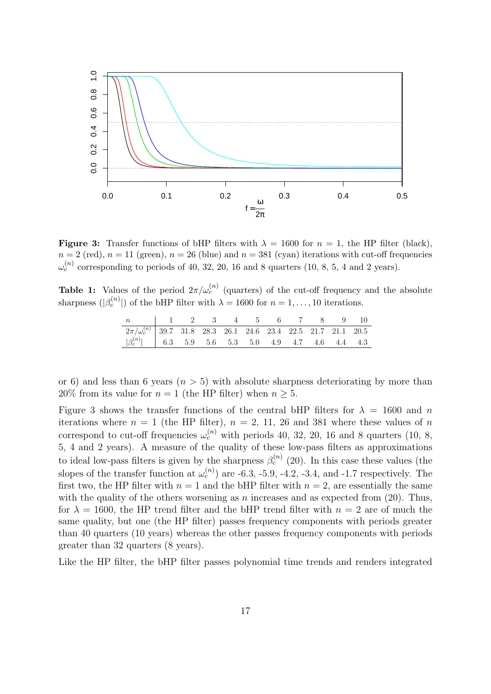

**Figure 3:** Transfer functions of bHP filters with  $\lambda = 1600$  for  $n = 1$ , the HP filter (black),  $n = 2$  (red),  $n = 11$  (green),  $n = 26$  (blue) and  $n = 381$  (cyan) iterations with cut-off frequencies  $\omega_c^{(n)}$  corresponding to periods of 40, 32, 20, 16 and 8 quarters (10, 8, 5, 4 and 2 years).

**Table 1:** Values of the period  $2\pi/\omega_c^{(n)}$  (quarters) of the cut-off frequency and the absolute sharpness  $(|\beta_c^{(n)}|)$  of the bHP filter with  $\lambda = 1600$  for  $n = 1, ..., 10$  iterations.

| n   1 2 3 4 5 6 7 8 9 10                                                       |  |  |  |  |  |
|--------------------------------------------------------------------------------|--|--|--|--|--|
| $\boxed{2\pi/\omega_c^{(n)}$ 39.7 31.8 28.3 26.1 24.6 23.4 22.5 21.7 21.1 20.5 |  |  |  |  |  |
| $ \beta_c^{(n)} $ 6.3 5.9 5.6 5.3 5.0 4.9 4.7 4.6 4.4 4.3                      |  |  |  |  |  |

or 6) and less than 6 years  $(n > 5)$  with absolute sharpness deteriorating by more than 20% from its value for  $n = 1$  (the HP filter) when  $n \geq 5$ .

Figure 3 shows the transfer functions of the central bHP filters for  $\lambda = 1600$  and n iterations where  $n = 1$  (the HP filter),  $n = 2, 11, 26$  and 381 where these values of n correspond to cut-off frequencies  $\omega_c^{(n)}$  with periods 40, 32, 20, 16 and 8 quarters (10, 8, 5, 4 and 2 years). A measure of the quality of these low-pass filters as approximations to ideal low-pass filters is given by the sharpness  $\beta_c^{(n)}$  (20). In this case these values (the slopes of the transfer function at  $\omega_c^{(n)}$  are -6.3, -5.9, -4.2, -3.4, and -1.7 respectively. The first two, the HP filter with  $n = 1$  and the bHP filter with  $n = 2$ , are essentially the same with the quality of the others worsening as n increases and as expected from  $(20)$ . Thus, for  $\lambda = 1600$ , the HP trend filter and the bHP trend filter with  $n = 2$  are of much the same quality, but one (the HP filter) passes frequency components with periods greater than 40 quarters (10 years) whereas the other passes frequency components with periods greater than 32 quarters (8 years).

Like the HP filter, the bHP filter passes polynomial time trends and renders integrated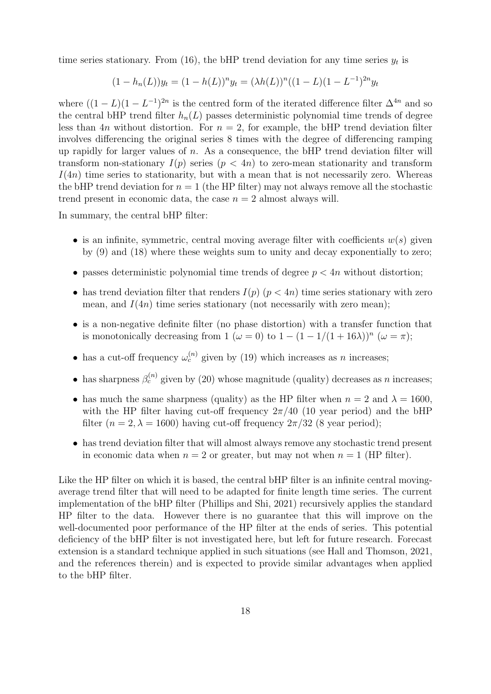time series stationary. From (16), the bHP trend deviation for any time series  $y_t$  is

$$
(1 - h_n(L))y_t = (1 - h(L))^n y_t = (\lambda h(L))^n ((1 - L)(1 - L^{-1})^{2n} y_t
$$

where  $((1 - L)(1 - L^{-1})^{2n})$  is the centred form of the iterated difference filter  $\Delta^{4n}$  and so the central bHP trend filter  $h_n(L)$  passes deterministic polynomial time trends of degree less than 4n without distortion. For  $n = 2$ , for example, the bHP trend deviation filter involves differencing the original series 8 times with the degree of differencing ramping up rapidly for larger values of  $n$ . As a consequence, the bHP trend deviation filter will transform non-stationary  $I(p)$  series  $(p < 4n)$  to zero-mean stationarity and transform  $I(4n)$  time series to stationarity, but with a mean that is not necessarily zero. Whereas the bHP trend deviation for  $n = 1$  (the HP filter) may not always remove all the stochastic trend present in economic data, the case  $n = 2$  almost always will.

In summary, the central bHP filter:

- is an infinite, symmetric, central moving average filter with coefficients  $w(s)$  given by (9) and (18) where these weights sum to unity and decay exponentially to zero;
- passes deterministic polynomial time trends of degree  $p < 4n$  without distortion;
- has trend deviation filter that renders  $I(p)$   $(p < 4n)$  time series stationary with zero mean, and  $I(4n)$  time series stationary (not necessarily with zero mean);
- is a non-negative definite filter (no phase distortion) with a transfer function that is monotonically decreasing from 1 ( $\omega = 0$ ) to  $1 - (1 - 1/(1 + 16\lambda))^n$  ( $\omega = \pi$ );
- has a cut-off frequency  $\omega_c^{(n)}$  given by (19) which increases as n increases;
- has sharpness  $\beta_c^{(n)}$  given by (20) whose magnitude (quality) decreases as n increases;
- has much the same sharpness (quality) as the HP filter when  $n = 2$  and  $\lambda = 1600$ , with the HP filter having cut-off frequency  $2\pi/40$  (10 year period) and the bHP filter ( $n = 2, \lambda = 1600$ ) having cut-off frequency  $2\pi/32$  (8 year period);
- has trend deviation filter that will almost always remove any stochastic trend present in economic data when  $n = 2$  or greater, but may not when  $n = 1$  (HP filter).

Like the HP filter on which it is based, the central bHP filter is an infinite central movingaverage trend filter that will need to be adapted for finite length time series. The current implementation of the bHP filter (Phillips and Shi, 2021) recursively applies the standard HP filter to the data. However there is no guarantee that this will improve on the well-documented poor performance of the HP filter at the ends of series. This potential deficiency of the bHP filter is not investigated here, but left for future research. Forecast extension is a standard technique applied in such situations (see Hall and Thomson, 2021, and the references therein) and is expected to provide similar advantages when applied to the bHP filter.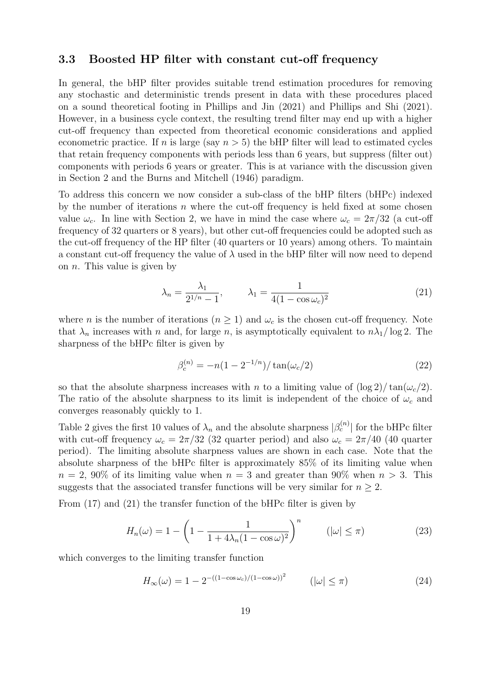#### 3.3 Boosted HP filter with constant cut-off frequency

In general, the bHP filter provides suitable trend estimation procedures for removing any stochastic and deterministic trends present in data with these procedures placed on a sound theoretical footing in Phillips and Jin (2021) and Phillips and Shi (2021). However, in a business cycle context, the resulting trend filter may end up with a higher cut-off frequency than expected from theoretical economic considerations and applied econometric practice. If n is large (say  $n > 5$ ) the bHP filter will lead to estimated cycles that retain frequency components with periods less than 6 years, but suppress (filter out) components with periods 6 years or greater. This is at variance with the discussion given in Section 2 and the Burns and Mitchell (1946) paradigm.

To address this concern we now consider a sub-class of the bHP filters (bHPc) indexed by the number of iterations  $n$  where the cut-off frequency is held fixed at some chosen value  $\omega_c$ . In line with Section 2, we have in mind the case where  $\omega_c = 2\pi/32$  (a cut-off frequency of 32 quarters or 8 years), but other cut-off frequencies could be adopted such as the cut-off frequency of the HP filter (40 quarters or 10 years) among others. To maintain a constant cut-off frequency the value of  $\lambda$  used in the bHP filter will now need to depend on  $n$ . This value is given by

$$
\lambda_n = \frac{\lambda_1}{2^{1/n} - 1}, \qquad \lambda_1 = \frac{1}{4(1 - \cos \omega_c)^2}
$$
 (21)

where *n* is the number of iterations  $(n \geq 1)$  and  $\omega_c$  is the chosen cut-off frequency. Note that  $\lambda_n$  increases with n and, for large n, is asymptotically equivalent to  $n\lambda_1/\log 2$ . The sharpness of the bHPc filter is given by

$$
\beta_c^{(n)} = -n(1 - 2^{-1/n})/\tan(\omega_c/2)
$$
\n(22)

so that the absolute sharpness increases with n to a limiting value of  $(\log 2)/\tan(\omega_c/2)$ . The ratio of the absolute sharpness to its limit is independent of the choice of  $\omega_c$  and converges reasonably quickly to 1.

Table 2 gives the first 10 values of  $\lambda_n$  and the absolute sharpness  $|\beta_c^{(n)}|$  for the bHPc filter with cut-off frequency  $\omega_c = 2\pi/32$  (32 quarter period) and also  $\omega_c = 2\pi/40$  (40 quarter period). The limiting absolute sharpness values are shown in each case. Note that the absolute sharpness of the bHPc filter is approximately 85% of its limiting value when  $n = 2, 90\%$  of its limiting value when  $n = 3$  and greater than 90% when  $n > 3$ . This suggests that the associated transfer functions will be very similar for  $n \geq 2$ .

From (17) and (21) the transfer function of the bHPc filter is given by

$$
H_n(\omega) = 1 - \left(1 - \frac{1}{1 + 4\lambda_n (1 - \cos \omega)^2}\right)^n \qquad (|\omega| \le \pi)
$$
 (23)

which converges to the limiting transfer function

$$
H_{\infty}(\omega) = 1 - 2^{-((1 - \cos \omega_c)/(1 - \cos \omega))^2} \qquad (|\omega| \le \pi)
$$
 (24)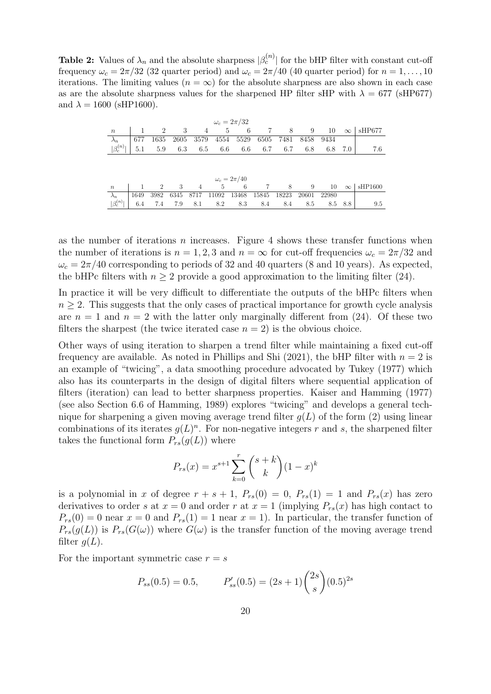**Table 2:** Values of  $\lambda_n$  and the absolute sharpness  $|\beta_c^{(n)}|$  for the bHP filter with constant cut-off frequency  $\omega_c = 2\pi/32$  (32 quarter period) and  $\omega_c = 2\pi/40$  (40 quarter period) for  $n = 1, \ldots, 10$ iterations. The limiting values  $(n = \infty)$  for the absolute sharpness are also shown in each case as are the absolute sharpness values for the sharpened HP filter sHP with  $\lambda = 677$  (sHP677) and  $\lambda = 1600$  (sHP1600).

| $\omega_c=2\pi/32$ |                    |  |  |  |  |  |                                              |  |  |  |  |     |
|--------------------|--------------------|--|--|--|--|--|----------------------------------------------|--|--|--|--|-----|
| $\mathfrak n$      |                    |  |  |  |  |  |                                              |  |  |  |  |     |
| $\lambda_n$ 677    |                    |  |  |  |  |  | 1635 2605 3579 4554 5529 6505 7481 8458 9434 |  |  |  |  |     |
| $ \beta_c^{(n)} $  |                    |  |  |  |  |  | 5.1 5.9 6.3 6.5 6.6 6.6 6.7 6.7 6.8 6.8 7.0  |  |  |  |  | 7.6 |
|                    |                    |  |  |  |  |  |                                              |  |  |  |  |     |
|                    |                    |  |  |  |  |  |                                              |  |  |  |  |     |
|                    | $\omega_c=2\pi/40$ |  |  |  |  |  |                                              |  |  |  |  |     |

| $\omega_c = 2\pi/40$ |  |  |  |  |  |  |                                                         |  |     |         |                           |
|----------------------|--|--|--|--|--|--|---------------------------------------------------------|--|-----|---------|---------------------------|
| $\boldsymbol{n}$     |  |  |  |  |  |  |                                                         |  |     |         | $10 \quad \infty$ sHP1600 |
|                      |  |  |  |  |  |  | 1649 3982 6345 8717 11092 13468 15845 18223 20601 22980 |  |     |         |                           |
| $ \beta_c^{(n)} $    |  |  |  |  |  |  | $6.4$ 7.4 7.9 8.1 8.2 8.3 8.4 8.4 6                     |  | 8.5 | 8.5 8.8 | 9.5                       |

as the number of iterations  $n$  increases. Figure 4 shows these transfer functions when the number of iterations is  $n = 1, 2, 3$  and  $n = \infty$  for cut-off frequencies  $\omega_c = 2\pi/32$  and  $\omega_c = 2\pi/40$  corresponding to periods of 32 and 40 quarters (8 and 10 years). As expected, the bHPc filters with  $n \geq 2$  provide a good approximation to the limiting filter (24).

In practice it will be very difficult to differentiate the outputs of the bHPc filters when  $n \geq 2$ . This suggests that the only cases of practical importance for growth cycle analysis are  $n = 1$  and  $n = 2$  with the latter only marginally different from (24). Of these two filters the sharpest (the twice iterated case  $n = 2$ ) is the obvious choice.

Other ways of using iteration to sharpen a trend filter while maintaining a fixed cut-off frequency are available. As noted in Phillips and Shi (2021), the bHP filter with  $n = 2$  is an example of "twicing", a data smoothing procedure advocated by Tukey (1977) which also has its counterparts in the design of digital filters where sequential application of filters (iteration) can lead to better sharpness properties. Kaiser and Hamming (1977) (see also Section 6.6 of Hamming, 1989) explores "twicing" and develops a general technique for sharpening a given moving average trend filter  $g(L)$  of the form (2) using linear combinations of its iterates  $g(L)^n$ . For non-negative integers r and s, the sharpened filter takes the functional form  $P_{rs}(g(L))$  where

$$
P_{rs}(x) = x^{s+1} \sum_{k=0}^{r} {s+k \choose k} (1-x)^k
$$

is a polynomial in x of degree  $r + s + 1$ ,  $P_{rs}(0) = 0$ ,  $P_{rs}(1) = 1$  and  $P_{rs}(x)$  has zero derivatives to order s at  $x = 0$  and order r at  $x = 1$  (implying  $P_{rs}(x)$  has high contact to  $P_{rs}(0) = 0$  near  $x = 0$  and  $P_{rs}(1) = 1$  near  $x = 1$ ). In particular, the transfer function of  $P_{rs}(g(L))$  is  $P_{rs}(G(\omega))$  where  $G(\omega)$  is the transfer function of the moving average trend filter  $g(L)$ .

For the important symmetric case  $r = s$ 

$$
P_{ss}(0.5) = 0.5,
$$
  $P'_{ss}(0.5) = (2s+1) {2s \choose s} (0.5)^{2s}$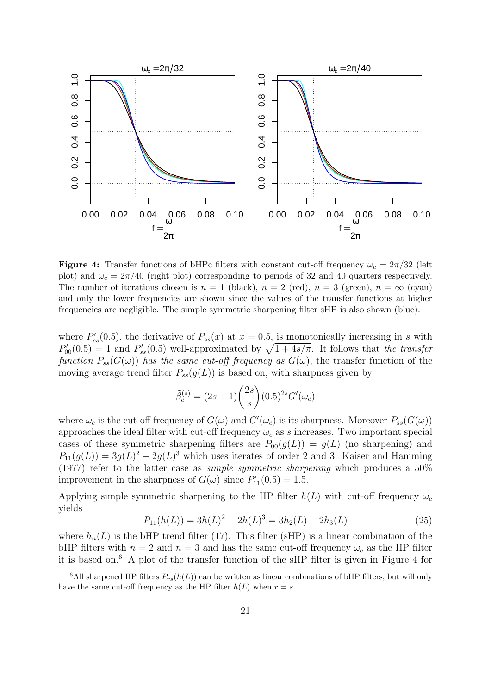

**Figure 4:** Transfer functions of bHPc filters with constant cut-off frequency  $\omega_c = 2\pi/32$  (left plot) and  $\omega_c = 2\pi/40$  (right plot) corresponding to periods of 32 and 40 quarters respectively. The number of iterations chosen is  $n = 1$  (black),  $n = 2$  (red),  $n = 3$  (green),  $n = \infty$  (cyan) and only the lower frequencies are shown since the values of the transfer functions at higher frequencies are negligible. The simple symmetric sharpening filter sHP is also shown (blue).

where  $P'_{ss}(0.5)$ , the derivative of  $P_{ss}(x)$  at  $x = 0.5$ , is monotonically increasing in s with  $P'_{00}(0.5) = 1$  and  $P'_{ss}(0.5)$  well-approximated by  $\sqrt{1 + 4s/\pi}$ . It follows that the transfer function  $P_{ss}(G(\omega))$  has the same cut-off frequency as  $G(\omega)$ , the transfer function of the moving average trend filter  $P_{ss}(g(L))$  is based on, with sharpness given by

$$
\tilde{\beta}_c^{(s)} = (2s+1) \binom{2s}{s} (0.5)^{2s} G'(\omega_c)
$$

where  $\omega_c$  is the cut-off frequency of  $G(\omega)$  and  $G'(\omega_c)$  is its sharpness. Moreover  $P_{ss}(G(\omega))$ approaches the ideal filter with cut-off frequency  $\omega_c$  as s increases. Two important special cases of these symmetric sharpening filters are  $P_{00}(g(L)) = g(L)$  (no sharpening) and  $P_{11}(g(L)) = 3g(L)^2 - 2g(L)^3$  which uses iterates of order 2 and 3. Kaiser and Hamming (1977) refer to the latter case as *simple symmetric sharpening* which produces a  $50\%$ improvement in the sharpness of  $G(\omega)$  since  $P'_{11}(0.5) = 1.5$ .

Applying simple symmetric sharpening to the HP filter  $h(L)$  with cut-off frequency  $\omega_c$ yields

$$
P_{11}(h(L)) = 3h(L)^{2} - 2h(L)^{3} = 3h_{2}(L) - 2h_{3}(L)
$$
\n(25)

where  $h_n(L)$  is the bHP trend filter (17). This filter (sHP) is a linear combination of the bHP filters with  $n = 2$  and  $n = 3$  and has the same cut-off frequency  $\omega_c$  as the HP filter it is based on.<sup>6</sup> A plot of the transfer function of the sHP filter is given in Figure 4 for

<sup>&</sup>lt;sup>6</sup>All sharpened HP filters  $P_{rs}(h(L))$  can be written as linear combinations of bHP filters, but will only have the same cut-off frequency as the HP filter  $h(L)$  when  $r = s$ .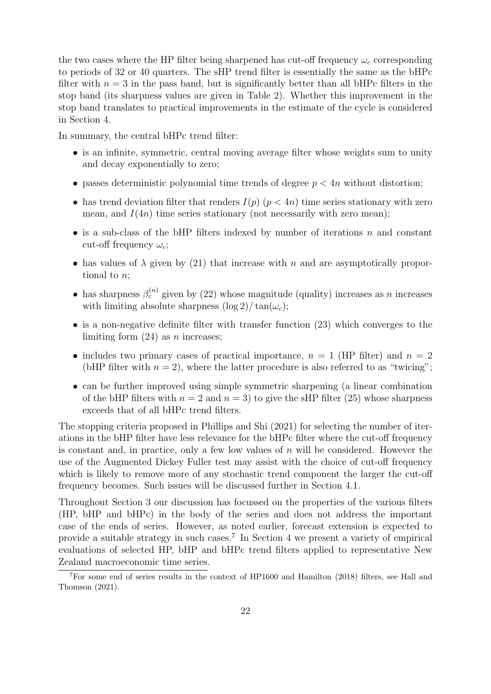the two cases where the HP filter being sharpened has cut-off frequency  $\omega_c$  corresponding to periods of 32 or 40 quarters. The sHP trend filter is essentially the same as the bHPc filter with  $n = 3$  in the pass band, but is significantly better than all bHPc filters in the stop band (its sharpness values are given in Table 2). Whether this improvement in the stop band translates to practical improvements in the estimate of the cycle is considered in Section 4.

In summary, the central bHPc trend filter:

- is an infinite, symmetric, central moving average filter whose weights sum to unity and decay exponentially to zero;
- passes deterministic polynomial time trends of degree  $p < 4n$  without distortion;
- has trend deviation filter that renders  $I(p)$   $(p < 4n)$  time series stationary with zero mean, and  $I(4n)$  time series stationary (not necessarily with zero mean);
- is a sub-class of the bHP filters indexed by number of iterations  $n$  and constant cut-off frequency  $\omega_c$ ;
- has values of  $\lambda$  given by (21) that increase with n and are asymptotically proportional to n;
- has sharpness  $\beta_c^{(n)}$  given by (22) whose magnitude (quality) increases as n increases with limiting absolute sharpness  $(\log 2)/\tan(\omega_c)$ ;
- is a non-negative definite filter with transfer function (23) which converges to the limiting form  $(24)$  as *n* increases;
- includes two primary cases of practical importance,  $n = 1$  (HP filter) and  $n = 2$ (bHP filter with  $n = 2$ ), where the latter procedure is also referred to as "twicing";
- can be further improved using simple symmetric sharpening (a linear combination of the bHP filters with  $n = 2$  and  $n = 3$ ) to give the sHP filter (25) whose sharpness exceeds that of all bHPc trend filters.

The stopping criteria proposed in Phillips and Shi (2021) for selecting the number of iterations in the bHP filter have less relevance for the bHPc filter where the cut-off frequency is constant and, in practice, only a few low values of  $n$  will be considered. However the use of the Augmented Dickey Fuller test may assist with the choice of cut-off frequency which is likely to remove more of any stochastic trend component the larger the cut-off frequency becomes. Such issues will be discussed further in Section 4.1.

Throughout Section 3 our discussion has focussed on the properties of the various filters (HP, bHP and bHPc) in the body of the series and does not address the important case of the ends of series. However, as noted earlier, forecast extension is expected to provide a suitable strategy in such cases.<sup>7</sup> In Section 4 we present a variety of empirical evaluations of selected HP, bHP and bHPc trend filters applied to representative New Zealand macroeconomic time series.

<sup>&</sup>lt;sup>7</sup>For some end of series results in the context of HP1600 and Hamilton (2018) filters, see Hall and Thomson (2021).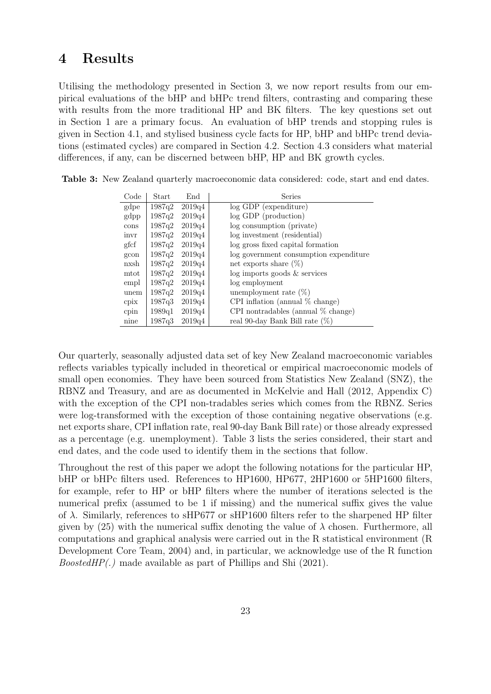# 4 Results

Utilising the methodology presented in Section 3, we now report results from our empirical evaluations of the bHP and bHPc trend filters, contrasting and comparing these with results from the more traditional HP and BK filters. The key questions set out in Section 1 are a primary focus. An evaluation of bHP trends and stopping rules is given in Section 4.1, and stylised business cycle facts for HP, bHP and bHPc trend deviations (estimated cycles) are compared in Section 4.2. Section 4.3 considers what material differences, if any, can be discerned between bHP, HP and BK growth cycles.

| Code | Start  | End    | Series                                 |
|------|--------|--------|----------------------------------------|
| gdpe | 1987q2 | 2019q4 | log GDP (expenditure)                  |
| gdpp | 1987q2 | 2019q4 | log GDP (production)                   |
| cons | 1987q2 | 2019q4 | log consumption (private)              |
| invr | 1987q2 | 2019q4 | log investment (residential)           |
| gfcf | 1987q2 | 2019q4 | log gross fixed capital formation      |
| gcon | 1987q2 | 2019q4 | log government consumption expenditure |
| nxsh | 1987q2 | 2019q4 | net exports share $(\%)$               |
| mtot | 1987q2 | 2019q4 | $log$ imports goods $&$ services       |
| empl | 1987q2 | 2019q4 | log employment                         |
| unem | 1987q2 | 2019q4 | unemployment rate $(\%)$               |
| cpix | 1987q3 | 2019q4 | CPI inflation (annual $%$ change)      |
| cpin | 1989q1 | 2019q4 | CPI nontradables (annual $%$ change)   |
| nine | 1987a3 | 2019q4 | real 90-day Bank Bill rate $(\%)$      |

Table 3: New Zealand quarterly macroeconomic data considered: code, start and end dates.

Our quarterly, seasonally adjusted data set of key New Zealand macroeconomic variables reflects variables typically included in theoretical or empirical macroeconomic models of small open economies. They have been sourced from Statistics New Zealand (SNZ), the RBNZ and Treasury, and are as documented in McKelvie and Hall (2012, Appendix C) with the exception of the CPI non-tradables series which comes from the RBNZ. Series were log-transformed with the exception of those containing negative observations (e.g. net exports share, CPI inflation rate, real 90-day Bank Bill rate) or those already expressed as a percentage (e.g. unemployment). Table 3 lists the series considered, their start and end dates, and the code used to identify them in the sections that follow.

Throughout the rest of this paper we adopt the following notations for the particular HP, bHP or bHPc filters used. References to HP1600, HP677, 2HP1600 or 5HP1600 filters, for example, refer to HP or bHP filters where the number of iterations selected is the numerical prefix (assumed to be 1 if missing) and the numerical suffix gives the value of  $\lambda$ . Similarly, references to sHP677 or sHP1600 filters refer to the sharpened HP filter given by (25) with the numerical suffix denoting the value of  $\lambda$  chosen. Furthermore, all computations and graphical analysis were carried out in the R statistical environment (R Development Core Team, 2004) and, in particular, we acknowledge use of the R function BoostedHP(.) made available as part of Phillips and Shi (2021).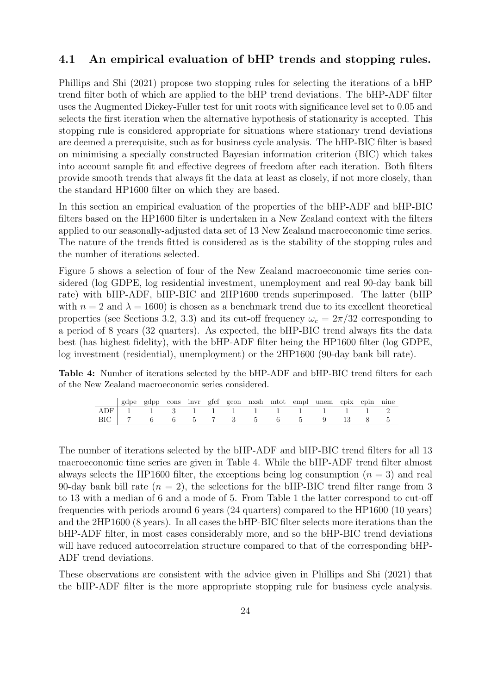#### 4.1 An empirical evaluation of bHP trends and stopping rules.

Phillips and Shi (2021) propose two stopping rules for selecting the iterations of a bHP trend filter both of which are applied to the bHP trend deviations. The bHP-ADF filter uses the Augmented Dickey-Fuller test for unit roots with significance level set to 0.05 and selects the first iteration when the alternative hypothesis of stationarity is accepted. This stopping rule is considered appropriate for situations where stationary trend deviations are deemed a prerequisite, such as for business cycle analysis. The bHP-BIC filter is based on minimising a specially constructed Bayesian information criterion (BIC) which takes into account sample fit and effective degrees of freedom after each iteration. Both filters provide smooth trends that always fit the data at least as closely, if not more closely, than the standard HP1600 filter on which they are based.

In this section an empirical evaluation of the properties of the bHP-ADF and bHP-BIC filters based on the HP1600 filter is undertaken in a New Zealand context with the filters applied to our seasonally-adjusted data set of 13 New Zealand macroeconomic time series. The nature of the trends fitted is considered as is the stability of the stopping rules and the number of iterations selected.

Figure 5 shows a selection of four of the New Zealand macroeconomic time series considered (log GDPE, log residential investment, unemployment and real 90-day bank bill rate) with bHP-ADF, bHP-BIC and 2HP1600 trends superimposed. The latter (bHP with  $n = 2$  and  $\lambda = 1600$ ) is chosen as a benchmark trend due to its excellent theoretical properties (see Sections 3.2, 3.3) and its cut-off frequency  $\omega_c = 2\pi/32$  corresponding to a period of 8 years (32 quarters). As expected, the bHP-BIC trend always fits the data best (has highest fidelity), with the bHP-ADF filter being the HP1600 filter (log GDPE, log investment (residential), unemployment) or the 2HP1600 (90-day bank bill rate).

Table 4: Number of iterations selected by the bHP-ADF and bHP-BIC trend filters for each of the New Zealand macroeconomic series considered.

|  |  |  |  |  | gdpe gdpp cons invr gfcf gcon nxsh mtot empl unem cpix cpin nine |  |  |
|--|--|--|--|--|------------------------------------------------------------------|--|--|
|  |  |  |  |  | ADF 1 1 3 1 1 1 1 1 1 1 1 1 2                                    |  |  |
|  |  |  |  |  | BIC 7 6 6 5 7 3 5 6 5 9 13 8 5                                   |  |  |

The number of iterations selected by the bHP-ADF and bHP-BIC trend filters for all 13 macroeconomic time series are given in Table 4. While the bHP-ADF trend filter almost always selects the HP1600 filter, the exceptions being log consumption  $(n = 3)$  and real 90-day bank bill rate  $(n = 2)$ , the selections for the bHP-BIC trend filter range from 3 to 13 with a median of 6 and a mode of 5. From Table 1 the latter correspond to cut-off frequencies with periods around 6 years (24 quarters) compared to the HP1600 (10 years) and the 2HP1600 (8 years). In all cases the bHP-BIC filter selects more iterations than the bHP-ADF filter, in most cases considerably more, and so the bHP-BIC trend deviations will have reduced autocorrelation structure compared to that of the corresponding bHP-ADF trend deviations.

These observations are consistent with the advice given in Phillips and Shi (2021) that the bHP-ADF filter is the more appropriate stopping rule for business cycle analysis.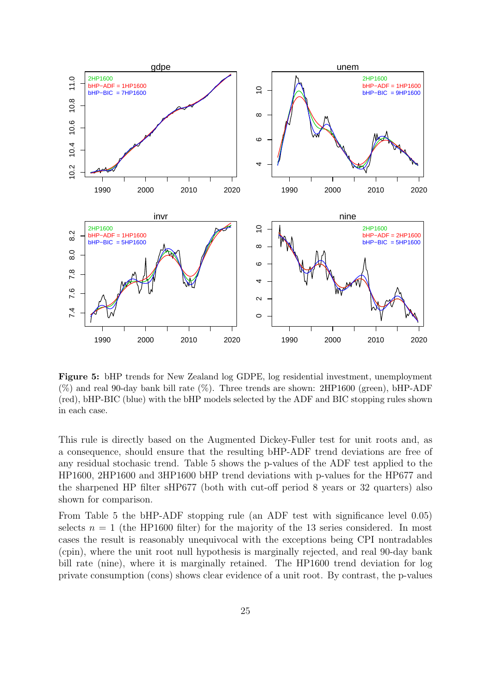

Figure 5: bHP trends for New Zealand log GDPE, log residential investment, unemployment  $(\%)$  and real 90-day bank bill rate  $(\%)$ . Three trends are shown: 2HP1600 (green), bHP-ADF (red), bHP-BIC (blue) with the bHP models selected by the ADF and BIC stopping rules shown in each case.

This rule is directly based on the Augmented Dickey-Fuller test for unit roots and, as a consequence, should ensure that the resulting bHP-ADF trend deviations are free of any residual stochasic trend. Table 5 shows the p-values of the ADF test applied to the HP1600, 2HP1600 and 3HP1600 bHP trend deviations with p-values for the HP677 and the sharpened HP filter sHP677 (both with cut-off period 8 years or 32 quarters) also shown for comparison.

From Table 5 the bHP-ADF stopping rule (an ADF test with significance level 0.05) selects  $n = 1$  (the HP1600 filter) for the majority of the 13 series considered. In most cases the result is reasonably unequivocal with the exceptions being CPI nontradables (cpin), where the unit root null hypothesis is marginally rejected, and real 90-day bank bill rate (nine), where it is marginally retained. The HP1600 trend deviation for log private consumption (cons) shows clear evidence of a unit root. By contrast, the p-values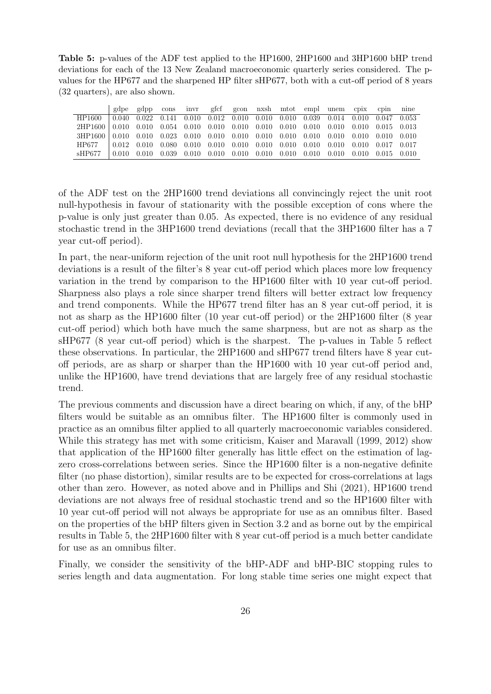Table 5: p-values of the ADF test applied to the HP1600, 2HP1600 and 3HP1600 bHP trend deviations for each of the 13 New Zealand macroeconomic quarterly series considered. The pvalues for the HP677 and the sharpened HP filter sHP677, both with a cut-off period of 8 years (32 quarters), are also shown.

|                                                                                                                   | gdpe  | gdpp        | cons  | invr |                                                                 |  |  | gfef geon nxsh mtot empl unem cpix                                              |       | cpin                    | nine |
|-------------------------------------------------------------------------------------------------------------------|-------|-------------|-------|------|-----------------------------------------------------------------|--|--|---------------------------------------------------------------------------------|-------|-------------------------|------|
| HP1600                                                                                                            | 0.040 | 0.022 0.141 |       |      |                                                                 |  |  | $0.010$ $0.012$ $0.010$ $0.010$ $0.010$ $0.039$ $0.014$ $0.010$ $0.047$ $0.053$ |       |                         |      |
| $2HP1600   0.010   0.010   0.054   0.010   0.010   0.010   0.010   0.010   0.010   0.010   0.010   0.015   0.013$ |       |             |       |      |                                                                 |  |  |                                                                                 |       |                         |      |
| $3HP1600   0.010   0.010   0.023   0.010   0.010   0.010   0.010   0.010   0.010   0.010   0.010   0.010   0.010$ |       |             |       |      |                                                                 |  |  |                                                                                 |       |                         |      |
| HP677                                                                                                             | 0.012 | 0.010       | 0.080 |      | $0.010$ $0.010$ $0.010$ $0.010$ $0.010$ $0.010$ $0.010$ $0.010$ |  |  |                                                                                 |       | $0.010$ $0.017$ $0.017$ |      |
| sHP677                                                                                                            | 0.010 | 0.010       | 0.039 |      | $0.010$ $0.010$ $0.010$ $0.010$ $0.010$ $0.010$ $0.010$ $0.010$ |  |  |                                                                                 | 0.010 | 0.015 0.010             |      |

of the ADF test on the 2HP1600 trend deviations all convincingly reject the unit root null-hypothesis in favour of stationarity with the possible exception of cons where the p-value is only just greater than 0.05. As expected, there is no evidence of any residual stochastic trend in the 3HP1600 trend deviations (recall that the 3HP1600 filter has a 7 year cut-off period).

In part, the near-uniform rejection of the unit root null hypothesis for the 2HP1600 trend deviations is a result of the filter's 8 year cut-off period which places more low frequency variation in the trend by comparison to the HP1600 filter with 10 year cut-off period. Sharpness also plays a role since sharper trend filters will better extract low frequency and trend components. While the HP677 trend filter has an 8 year cut-off period, it is not as sharp as the HP1600 filter (10 year cut-off period) or the 2HP1600 filter (8 year cut-off period) which both have much the same sharpness, but are not as sharp as the sHP677 (8 year cut-off period) which is the sharpest. The p-values in Table 5 reflect these observations. In particular, the 2HP1600 and sHP677 trend filters have 8 year cutoff periods, are as sharp or sharper than the HP1600 with 10 year cut-off period and, unlike the HP1600, have trend deviations that are largely free of any residual stochastic trend.

The previous comments and discussion have a direct bearing on which, if any, of the bHP filters would be suitable as an omnibus filter. The HP1600 filter is commonly used in practice as an omnibus filter applied to all quarterly macroeconomic variables considered. While this strategy has met with some criticism, Kaiser and Maravall (1999, 2012) show that application of the HP1600 filter generally has little effect on the estimation of lagzero cross-correlations between series. Since the HP1600 filter is a non-negative definite filter (no phase distortion), similar results are to be expected for cross-correlations at lags other than zero. However, as noted above and in Phillips and Shi (2021), HP1600 trend deviations are not always free of residual stochastic trend and so the HP1600 filter with 10 year cut-off period will not always be appropriate for use as an omnibus filter. Based on the properties of the bHP filters given in Section 3.2 and as borne out by the empirical results in Table 5, the 2HP1600 filter with 8 year cut-off period is a much better candidate for use as an omnibus filter.

Finally, we consider the sensitivity of the bHP-ADF and bHP-BIC stopping rules to series length and data augmentation. For long stable time series one might expect that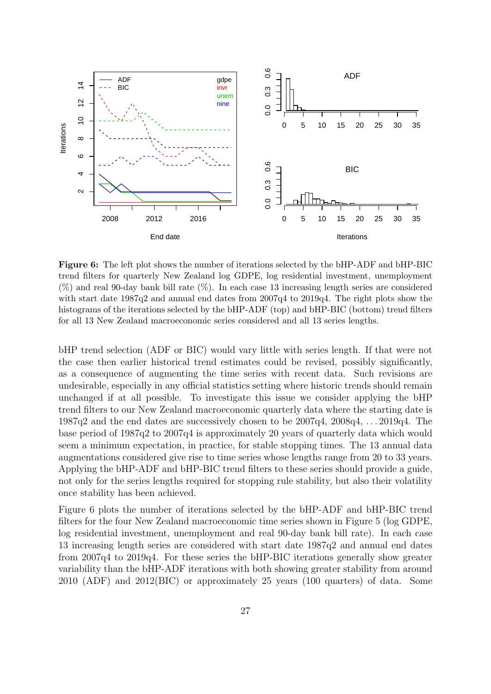

Figure 6: The left plot shows the number of iterations selected by the bHP-ADF and bHP-BIC trend filters for quarterly New Zealand log GDPE, log residential investment, unemployment  $(\%)$  and real 90-day bank bill rate  $(\%)$ . In each case 13 increasing length series are considered with start date 1987q2 and annual end dates from 2007q4 to 2019q4. The right plots show the histograms of the iterations selected by the bHP-ADF (top) and bHP-BIC (bottom) trend filters for all 13 New Zealand macroeconomic series considered and all 13 series lengths.

bHP trend selection (ADF or BIC) would vary little with series length. If that were not the case then earlier historical trend estimates could be revised, possibly significantly, as a consequence of augmenting the time series with recent data. Such revisions are undesirable, especially in any official statistics setting where historic trends should remain unchanged if at all possible. To investigate this issue we consider applying the bHP trend filters to our New Zealand macroeconomic quarterly data where the starting date is 1987q2 and the end dates are successively chosen to be 2007q4, 2008q4, . . . 2019q4. The base period of 1987q2 to 2007q4 is approximately 20 years of quarterly data which would seem a minimum expectation, in practice, for stable stopping times. The 13 annual data augmentations considered give rise to time series whose lengths range from 20 to 33 years. Applying the bHP-ADF and bHP-BIC trend filters to these series should provide a guide, not only for the series lengths required for stopping rule stability, but also their volatility once stability has been achieved.

Figure 6 plots the number of iterations selected by the bHP-ADF and bHP-BIC trend filters for the four New Zealand macroeconomic time series shown in Figure 5 (log GDPE, log residential investment, unemployment and real 90-day bank bill rate). In each case 13 increasing length series are considered with start date 1987q2 and annual end dates from 2007q4 to 2019q4. For these series the bHP-BIC iterations generally show greater variability than the bHP-ADF iterations with both showing greater stability from around 2010 (ADF) and 2012(BIC) or approximately 25 years (100 quarters) of data. Some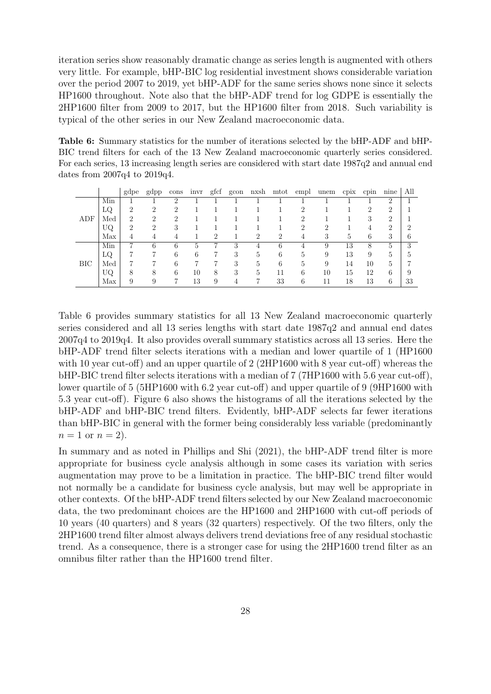iteration series show reasonably dramatic change as series length is augmented with others very little. For example, bHP-BIC log residential investment shows considerable variation over the period 2007 to 2019, yet bHP-ADF for the same series shows none since it selects HP1600 throughout. Note also that the bHP-ADF trend for log GDPE is essentially the 2HP1600 filter from 2009 to 2017, but the HP1600 filter from 2018. Such variability is typical of the other series in our New Zealand macroeconomic data.

Table 6: Summary statistics for the number of iterations selected by the bHP-ADF and bHP-BIC trend filters for each of the 13 New Zealand macroeconomic quarterly series considered. For each series, 13 increasing length series are considered with start date 1987q2 and annual end dates from 2007q4 to 2019q4.

|              |     | gdpe           | gdpp           | cons                        | invr | gfcf | gcon |   | nxsh mtot | empl           | unem | cpix | cpin          | nine           | All |
|--------------|-----|----------------|----------------|-----------------------------|------|------|------|---|-----------|----------------|------|------|---------------|----------------|-----|
|              | Min |                |                | 2                           |      |      |      |   |           |                |      |      |               | ച              |     |
|              | LQ  | $\overline{2}$ | $\mathcal{D}$  | $\mathcal{D}_{\mathcal{L}}$ |      |      |      |   |           | 2              |      |      | $\mathcal{D}$ | $\overline{2}$ |     |
| ADF          | Med | $\overline{2}$ | $\mathfrak{D}$ | $\mathcal{D}_{\mathcal{L}}$ |      |      |      |   |           | $\overline{2}$ |      |      | 3             | റ              |     |
|              | UQ  | 2              | 2              | 3                           |      |      |      |   |           | $\overline{2}$ | 2    |      | 4             | 2              | ົ   |
|              | Max | 4              |                | 4                           |      | ച    |      | 2 | $\Omega$  | 4              | 3    | 5    | 6             | 3              | h   |
|              | Min | ⇁              | 6              | 6                           | 5    |      | 3    | 4 | 6         | 4              | 9    | 13   | 8             | 5              | 3   |
|              | LQ  |                |                | 6                           | 6    |      | 3    | 5 | 6         | 5              | 9    | 13   | 9             | 5              | h   |
| $_{\rm BIC}$ | Med |                |                | 6                           |      |      | 3    | 5 | 6         | 5              | 9    | 14   | 10            | 5              |     |
|              | UQ  | 8              | 8              | 6                           | 10   | 8    | 3    | 5 | 11        | 6              | 10   | 15   | 12            | 6              | 9   |
|              | Max | 9              | 9              |                             | 13   | 9    |      |   | 33        | 6              | 11   | 18   | 13            | 6              | 33  |

Table 6 provides summary statistics for all 13 New Zealand macroeconomic quarterly series considered and all 13 series lengths with start date 1987q2 and annual end dates 2007q4 to 2019q4. It also provides overall summary statistics across all 13 series. Here the bHP-ADF trend filter selects iterations with a median and lower quartile of 1 (HP1600 with 10 year cut-off) and an upper quartile of 2 (2HP1600 with 8 year cut-off) whereas the bHP-BIC trend filter selects iterations with a median of 7 (7HP1600 with 5.6 year cut-off), lower quartile of 5 (5HP1600 with 6.2 year cut-off) and upper quartile of 9 (9HP1600 with 5.3 year cut-off). Figure 6 also shows the histograms of all the iterations selected by the bHP-ADF and bHP-BIC trend filters. Evidently, bHP-ADF selects far fewer iterations than bHP-BIC in general with the former being considerably less variable (predominantly  $n = 1$  or  $n = 2$ ).

In summary and as noted in Phillips and Shi (2021), the bHP-ADF trend filter is more appropriate for business cycle analysis although in some cases its variation with series augmentation may prove to be a limitation in practice. The bHP-BIC trend filter would not normally be a candidate for business cycle analysis, but may well be appropriate in other contexts. Of the bHP-ADF trend filters selected by our New Zealand macroeconomic data, the two predominant choices are the HP1600 and 2HP1600 with cut-off periods of 10 years (40 quarters) and 8 years (32 quarters) respectively. Of the two filters, only the 2HP1600 trend filter almost always delivers trend deviations free of any residual stochastic trend. As a consequence, there is a stronger case for using the 2HP1600 trend filter as an omnibus filter rather than the HP1600 trend filter.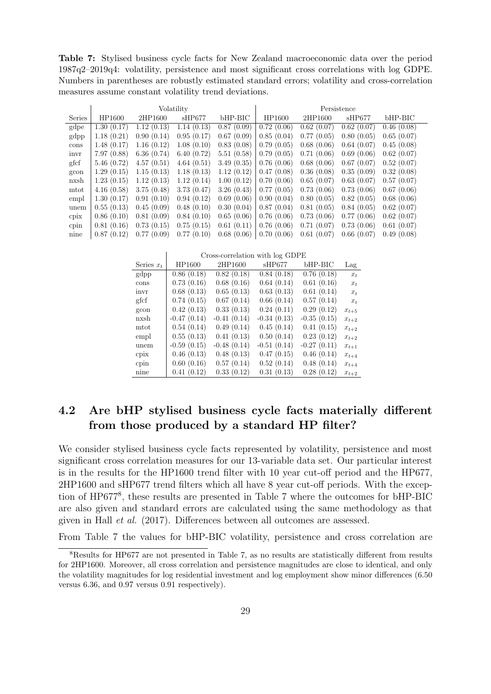Table 7: Stylised business cycle facts for New Zealand macroeconomic data over the period 1987q2–2019q4: volatility, persistence and most significant cross correlations with log GDPE. Numbers in parentheses are robustly estimated standard errors; volatility and cross-correlation measures assume constant volatility trend deviations.

|               |            |            | Volatility |            | Persistence |            |            |            |  |  |
|---------------|------------|------------|------------|------------|-------------|------------|------------|------------|--|--|
| <b>Series</b> | HP1600     | 2HP1600    | sHP677     | $bHP-BIC$  | HP1600      | 2HP1600    | sHP677     | bHP-BIC    |  |  |
| gdpe          | 1.30(0.17) | 1.12(0.13) | 1.14(0.13) | 0.87(0.09) | 0.72(0.06)  | 0.62(0.07) | 0.62(0.07) | 0.46(0.08) |  |  |
| gdpp          | 1.18(0.21) | 0.90(0.14) | 0.95(0.17) | 0.67(0.09) | 0.85(0.04)  | 0.77(0.05) | 0.80(0.05) | 0.65(0.07) |  |  |
| cons          | 1.48(0.17) | 1.16(0.12) | 1.08(0.10) | 0.83(0.08) | 0.79(0.05)  | 0.68(0.06) | 0.64(0.07) | 0.45(0.08) |  |  |
| invr          | 7.97(0.88) | 6.36(0.74) | 6.40(0.72) | 5.51(0.58) | 0.79(0.05)  | 0.71(0.06) | 0.69(0.06) | 0.62(0.07) |  |  |
| gfcf          | 5.46(0.72) | 4.57(0.51) | 4.64(0.51) | 3.49(0.35) | 0.76(0.06)  | 0.68(0.06) | 0.67(0.07) | 0.52(0.07) |  |  |
| gcon          | 1.29(0.15) | 1.15(0.13) | 1.18(0.13) | 1.12(0.12) | 0.47(0.08)  | 0.36(0.08) | 0.35(0.09) | 0.32(0.08) |  |  |
| nxsh          | 1.23(0.15) | 1.12(0.13) | 1.12(0.14) | 1.00(0.12) | 0.70(0.06)  | 0.65(0.07) | 0.63(0.07) | 0.57(0.07) |  |  |
| mtot          | 4.16(0.58) | 3.75(0.48) | 3.73(0.47) | 3.26(0.43) | 0.77(0.05)  | 0.73(0.06) | 0.73(0.06) | 0.67(0.06) |  |  |
| empl          | 1.30(0.17) | 0.91(0.10) | 0.94(0.12) | 0.69(0.06) | 0.90(0.04)  | 0.80(0.05) | 0.82(0.05) | 0.68(0.06) |  |  |
| unem          | 0.55(0.13) | 0.45(0.09) | 0.48(0.10) | 0.30(0.04) | 0.87(0.04)  | 0.81(0.05) | 0.84(0.05) | 0.62(0.07) |  |  |
| cpix          | 0.86(0.10) | 0.81(0.09) | 0.84(0.10) | 0.65(0.06) | 0.76(0.06)  | 0.73(0.06) | 0.77(0.06) | 0.62(0.07) |  |  |
| cpin          | 0.81(0.16) | 0.73(0.15) | 0.75(0.15) | 0.61(0.11) | 0.76(0.06)  | 0.71(0.07) | 0.73(0.06) | 0.61(0.07) |  |  |
| nine          | 0.87(0.12) | 0.77(0.09) | 0.77(0.10) | 0.68(0.06) | 0.70(0.06)  | 0.61(0.07) | 0.66(0.07) | 0.49(0.08) |  |  |

Cross-correlation with log GDPE

 $\begin{array}{c} \hline \end{array}$ 

| Series $x_t$ | HP1600        | 2HP1600       | sHP677        | bHP-BIC       | Lag       |
|--------------|---------------|---------------|---------------|---------------|-----------|
| gdpp         | 0.86(0.18)    | 0.82(0.18)    | 0.84(0.18)    | 0.76(0.18)    | $x_t$     |
| cons         | 0.73(0.16)    | 0.68(0.16)    | 0.64(0.14)    | 0.61(0.16)    | $x_t$     |
| invr         | 0.68(0.13)    | 0.65(0.13)    | 0.63(0.13)    | 0.61(0.14)    | $x_t$     |
| gfcf         | 0.74(0.15)    | 0.67(0.14)    | 0.66(0.14)    | 0.57(0.14)    | $x_t$     |
| gcon         | 0.42(0.13)    | 0.33(0.13)    | 0.24(0.11)    | 0.29(0.12)    | $x_{t+5}$ |
| nxsh         | $-0.47(0.14)$ | $-0.41(0.14)$ | $-0.34(0.13)$ | $-0.35(0.15)$ | $x_{t+2}$ |
| mtot         | 0.54(0.14)    | 0.49(0.14)    | 0.45(0.14)    | 0.41(0.15)    | $x_{t+2}$ |
| empl         | 0.55(0.13)    | 0.41(0.13)    | 0.50(0.14)    | 0.23(0.12)    | $x_{t+2}$ |
| unem         | $-0.59(0.15)$ | $-0.48(0.14)$ | $-0.51(0.14)$ | $-0.27(0.11)$ | $x_{t+1}$ |
| cpix         | 0.46(0.13)    | 0.48(0.13)    | 0.47(0.15)    | 0.46(0.14)    | $x_{t+4}$ |
| cpin         | 0.60(0.16)    | 0.57(0.14)    | 0.52(0.14)    | 0.48(0.14)    | $x_{t+4}$ |
| nine         | 0.41(0.12)    | 0.33(0.12)    | 0.31(0.13)    | 0.28(0.12)    | $x_{t+2}$ |

## 4.2 Are bHP stylised business cycle facts materially different from those produced by a standard HP filter?

We consider stylised business cycle facts represented by volatility, persistence and most significant cross correlation measures for our 13-variable data set. Our particular interest is in the results for the HP1600 trend filter with 10 year cut-off period and the HP677, 2HP1600 and sHP677 trend filters which all have 8 year cut-off periods. With the exception of HP677<sup>8</sup> , these results are presented in Table 7 where the outcomes for bHP-BIC are also given and standard errors are calculated using the same methodology as that given in Hall et al. (2017). Differences between all outcomes are assessed.

From Table 7 the values for bHP-BIC volatility, persistence and cross correlation are

<sup>8</sup>Results for HP677 are not presented in Table 7, as no results are statistically different from results for 2HP1600. Moreover, all cross correlation and persistence magnitudes are close to identical, and only the volatility magnitudes for log residential investment and log employment show minor differences (6.50 versus 6.36, and 0.97 versus 0.91 respectively).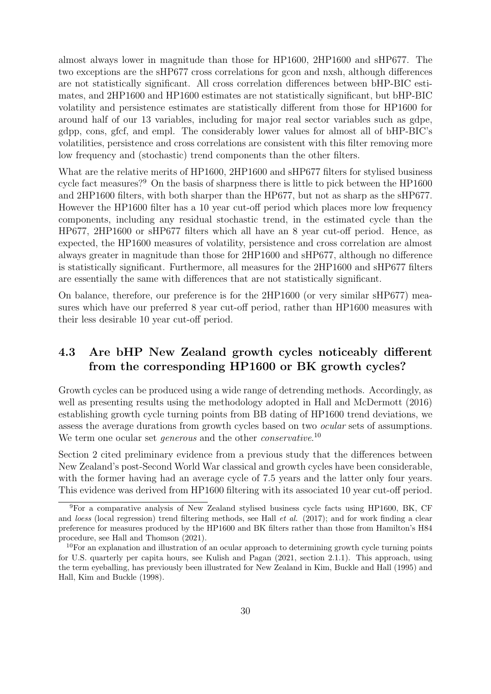almost always lower in magnitude than those for HP1600, 2HP1600 and sHP677. The two exceptions are the sHP677 cross correlations for gcon and nxsh, although differences are not statistically significant. All cross correlation differences between bHP-BIC estimates, and 2HP1600 and HP1600 estimates are not statistically significant, but bHP-BIC volatility and persistence estimates are statistically different from those for HP1600 for around half of our 13 variables, including for major real sector variables such as gdpe, gdpp, cons, gfcf, and empl. The considerably lower values for almost all of bHP-BIC's volatilities, persistence and cross correlations are consistent with this filter removing more low frequency and (stochastic) trend components than the other filters.

What are the relative merits of HP1600, 2HP1600 and sHP677 filters for stylised business cycle fact measures?<sup>9</sup> On the basis of sharpness there is little to pick between the HP1600 and 2HP1600 filters, with both sharper than the HP677, but not as sharp as the sHP677. However the HP1600 filter has a 10 year cut-off period which places more low frequency components, including any residual stochastic trend, in the estimated cycle than the HP677, 2HP1600 or sHP677 filters which all have an 8 year cut-off period. Hence, as expected, the HP1600 measures of volatility, persistence and cross correlation are almost always greater in magnitude than those for 2HP1600 and sHP677, although no difference is statistically significant. Furthermore, all measures for the 2HP1600 and sHP677 filters are essentially the same with differences that are not statistically significant.

On balance, therefore, our preference is for the 2HP1600 (or very similar sHP677) measures which have our preferred 8 year cut-off period, rather than HP1600 measures with their less desirable 10 year cut-off period.

## 4.3 Are bHP New Zealand growth cycles noticeably different from the corresponding HP1600 or BK growth cycles?

Growth cycles can be produced using a wide range of detrending methods. Accordingly, as well as presenting results using the methodology adopted in Hall and McDermott (2016) establishing growth cycle turning points from BB dating of HP1600 trend deviations, we assess the average durations from growth cycles based on two ocular sets of assumptions. We term one ocular set *generous* and the other *conservative*.<sup>10</sup>

Section 2 cited preliminary evidence from a previous study that the differences between New Zealand's post-Second World War classical and growth cycles have been considerable, with the former having had an average cycle of 7.5 years and the latter only four years. This evidence was derived from HP1600 filtering with its associated 10 year cut-off period.

<sup>9</sup>For a comparative analysis of New Zealand stylised business cycle facts using HP1600, BK, CF and loess (local regression) trend filtering methods, see Hall  $et \ al.$  (2017); and for work finding a clear preference for measures produced by the HP1600 and BK filters rather than those from Hamilton's H84 procedure, see Hall and Thomson (2021).

 $10$ For an explanation and illustration of an ocular approach to determining growth cycle turning points for U.S. quarterly per capita hours, see Kulish and Pagan (2021, section 2.1.1). This approach, using the term eyeballing, has previously been illustrated for New Zealand in Kim, Buckle and Hall (1995) and Hall, Kim and Buckle (1998).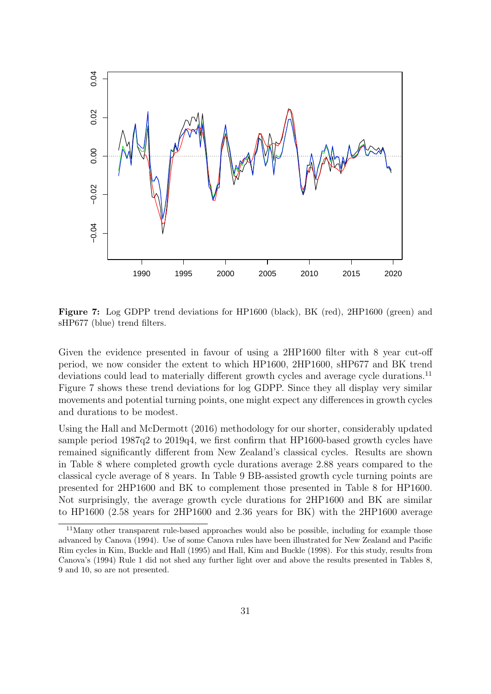

Figure 7: Log GDPP trend deviations for HP1600 (black), BK (red), 2HP1600 (green) and sHP677 (blue) trend filters.

Given the evidence presented in favour of using a 2HP1600 filter with 8 year cut-off period, we now consider the extent to which HP1600, 2HP1600, sHP677 and BK trend deviations could lead to materially different growth cycles and average cycle durations.<sup>11</sup> Figure 7 shows these trend deviations for log GDPP. Since they all display very similar movements and potential turning points, one might expect any differences in growth cycles and durations to be modest.

Using the Hall and McDermott (2016) methodology for our shorter, considerably updated sample period 1987q2 to 2019q4, we first confirm that HP1600-based growth cycles have remained significantly different from New Zealand's classical cycles. Results are shown in Table 8 where completed growth cycle durations average 2.88 years compared to the classical cycle average of 8 years. In Table 9 BB-assisted growth cycle turning points are presented for 2HP1600 and BK to complement those presented in Table 8 for HP1600. Not surprisingly, the average growth cycle durations for 2HP1600 and BK are similar to HP1600 (2.58 years for 2HP1600 and 2.36 years for BK) with the 2HP1600 average

<sup>&</sup>lt;sup>11</sup>Many other transparent rule-based approaches would also be possible, including for example those advanced by Canova (1994). Use of some Canova rules have been illustrated for New Zealand and Pacific Rim cycles in Kim, Buckle and Hall (1995) and Hall, Kim and Buckle (1998). For this study, results from Canova's (1994) Rule 1 did not shed any further light over and above the results presented in Tables 8, 9 and 10, so are not presented.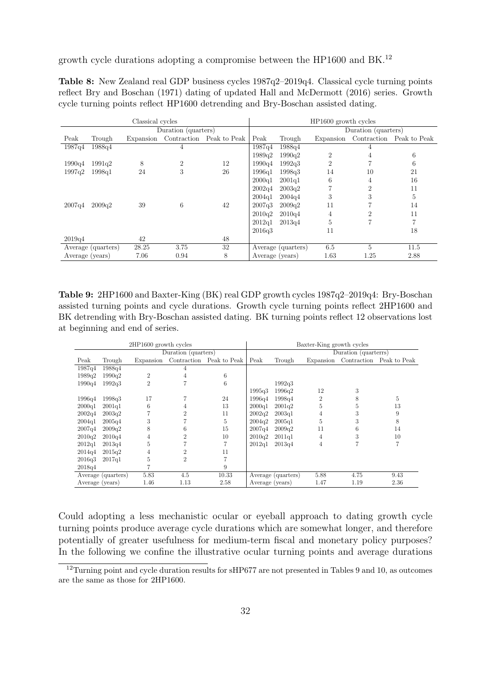growth cycle durations adopting a compromise between the HP1600 and BK.<sup>12</sup>

| <b>Table 8:</b> New Zealand real GDP business cycles 1987q2-2019q4. Classical cycle turning points |  |
|----------------------------------------------------------------------------------------------------|--|
| reflect Bry and Boschan (1971) dating of updated Hall and McDermott (2016) series. Growth          |  |
| cycle turning points reflect HP1600 detrending and Bry-Boschan assisted dating.                    |  |

|                 |                    | Classical cycles |                     |                                    | HP1600 growth cycles |                    |                |                     |                          |  |
|-----------------|--------------------|------------------|---------------------|------------------------------------|----------------------|--------------------|----------------|---------------------|--------------------------|--|
|                 |                    |                  | Duration (quarters) |                                    |                      |                    |                | Duration (quarters) |                          |  |
| Peak            | Trough             |                  |                     | Expansion Contraction Peak to Peak | Peak                 | Trough             | Expansion      |                     | Contraction Peak to Peak |  |
| 1987q4          | 1988q4             |                  | 4                   |                                    | 1987q4               | 1988q4             |                |                     |                          |  |
|                 |                    |                  |                     |                                    | 1989q2               | 1990q2             | $\overline{2}$ | 4                   | 6                        |  |
| 1990q4          | 1991q2             | 8                | $\overline{2}$      | 12                                 | 1990a4               | 1992q3             | $\overline{2}$ |                     | 6                        |  |
| 1997q2          | 1998q1             | 24               | 3                   | 26                                 | 1996a1               | 1998q3             | 14             | 10                  | 21                       |  |
|                 |                    |                  |                     |                                    | 2000q1               | 2001q1             | 6              | 4                   | 16                       |  |
|                 |                    |                  |                     |                                    | 2002q4               | 2003q2             | 7              | $\overline{2}$      | 11                       |  |
|                 |                    |                  |                     |                                    | 2004q1               | 2004q4             | 3              | 3                   | 5                        |  |
| 2007q4          | 2009q2             | 39               | 6                   | 42                                 | 2007q3               | 2009q2             | 11             |                     | 14                       |  |
|                 |                    |                  |                     |                                    | 2010q2               | 2010q4             | 4              | 2                   | 11                       |  |
|                 |                    |                  |                     |                                    | 2012q1               | 2013q4             | 5              | 7                   | 7                        |  |
|                 |                    |                  |                     |                                    | 2016q3               |                    | 11             |                     | 18                       |  |
| 2019q4          |                    | 42               |                     | 48                                 |                      |                    |                |                     |                          |  |
|                 | Average (quarters) | 28.25            | 3.75                | 32                                 |                      | Average (quarters) | 6.5            | 5                   | 11.5                     |  |
| Average (years) |                    | 7.06             | 0.94                | 8                                  | Average (years)      |                    | 1.63           | 1.25                | 2.88                     |  |

Table 9: 2HP1600 and Baxter-King (BK) real GDP growth cycles 1987q2–2019q4: Bry-Boschan assisted turning points and cycle durations. Growth cycle turning points reflect 2HP1600 and BK detrending with Bry-Boschan assisted dating. BK turning points reflect 12 observations lost at beginning and end of series.

|                 |                    | 2HP1600 growth cycles |                     |                          | Baxter-King growth cycles |                    |                |                      |                          |  |  |
|-----------------|--------------------|-----------------------|---------------------|--------------------------|---------------------------|--------------------|----------------|----------------------|--------------------------|--|--|
|                 |                    |                       | Duration (quarters) |                          |                           |                    |                | Duration (quarterrs) |                          |  |  |
| Peak            | Trough             | Expansion             |                     | Contraction Peak to Peak | Peak                      | Trough             | Expansion      |                      | Contraction Peak to Peak |  |  |
| 1987q4          | 1988q4             |                       | 4                   |                          |                           |                    |                |                      |                          |  |  |
| 1989q2          | 1990a2             | $\overline{2}$        | 4                   | 6                        |                           |                    |                |                      |                          |  |  |
| 1990q4          | 1992q3             | $\overline{2}$        |                     | 6                        |                           | 1992q3             |                |                      |                          |  |  |
|                 |                    |                       |                     |                          | 1995q3                    | 1996q2             | 12             | 3                    |                          |  |  |
| 1996q4          | 1998q3             | 17                    |                     | 24                       | 1996a4                    | 1998q4             | $\overline{2}$ | 8                    | 5                        |  |  |
| 2000q1          | 2001q1             | 6                     | 4                   | 13                       | 2000q1                    | 2001q2             | 5              | 5                    | 13                       |  |  |
| 2002q4          | 2003q2             |                       | $\overline{2}$      | 11                       | 2002q2                    | 2003q1             | 4              | 3                    | 9                        |  |  |
| 2004q1          | 2005q4             | 3                     |                     | 5                        | 2004a2                    | 2005q1             | 5              | 3                    | 8                        |  |  |
| 2007q4          | 2009q2             | 8                     | 6                   | 15                       | 2007q4                    | 2009q2             | 11             | 6                    | 14                       |  |  |
| 2010q2          | 2010q4             | 4                     | $\overline{2}$      | 10                       | 2010q2                    | 2011q1             | $\overline{4}$ | 3                    | 10                       |  |  |
| 2012q1          | 2013q4             | 5                     |                     |                          | 2012q1                    | 2013q4             | 4              | 7                    | 7                        |  |  |
| 2014q4          | 2015q2             | 4                     | $\overline{2}$      | 11                       |                           |                    |                |                      |                          |  |  |
| 2016q3          | 2017q1             | 5                     | $\overline{2}$      |                          |                           |                    |                |                      |                          |  |  |
| 2018q4          |                    |                       |                     | 9                        |                           |                    |                |                      |                          |  |  |
|                 | Average (quarters) | 5.83                  | 4.5                 | 10.33                    |                           | Average (quarters) | 5.88           | 4.75                 | 9.43                     |  |  |
| Average (years) |                    | 1.46                  | 1.13                | 2.58                     | Average (years)           |                    | 1.47           | 1.19                 | 2.36                     |  |  |

Could adopting a less mechanistic ocular or eyeball approach to dating growth cycle turning points produce average cycle durations which are somewhat longer, and therefore potentially of greater usefulness for medium-term fiscal and monetary policy purposes? In the following we confine the illustrative ocular turning points and average durations

<sup>&</sup>lt;sup>12</sup>Turning point and cycle duration results for sHP677 are not presented in Tables 9 and 10, as outcomes are the same as those for 2HP1600.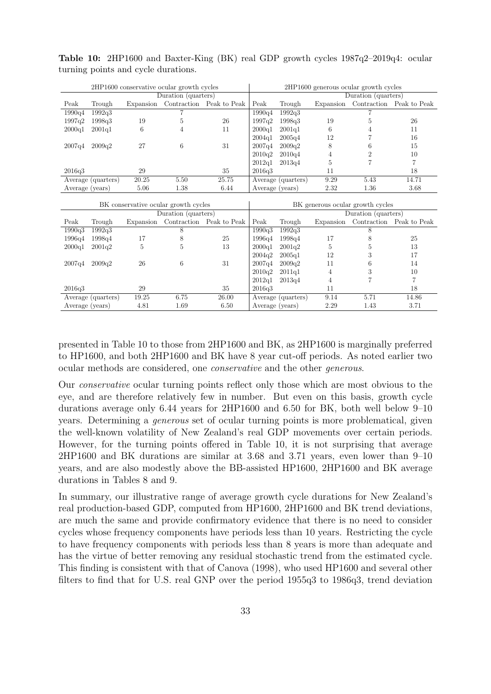|                                         | 2HP1600 conservative ocular growth cycles |                |                                      |                          | 2HP1600 generous ocular growth cycles |                    |                |                                  |                                    |
|-----------------------------------------|-------------------------------------------|----------------|--------------------------------------|--------------------------|---------------------------------------|--------------------|----------------|----------------------------------|------------------------------------|
| $\overline{\text{Duration}}$ (quarters) |                                           |                |                                      | Duration (quarters)      |                                       |                    |                |                                  |                                    |
| Peak                                    | Trough                                    | Expansion      |                                      | Contraction Peak to Peak | Peak                                  | Trough             |                |                                  | Expansion Contraction Peak to Peak |
| 1990q4                                  | 1992q3                                    |                |                                      |                          | 1990q4                                | 1992q3             |                |                                  |                                    |
| 1997q2                                  | 1998q3                                    | 19             | 5                                    | 26                       | 1997q2                                | 1998q3             | 19             | 5                                | 26                                 |
| 2000q1                                  | 2001q1                                    | 6              | 4                                    | 11                       | 2000q1                                | 2001q1             | 6              | 4                                | 11                                 |
|                                         |                                           |                |                                      |                          | 2004q1                                | 2005q4             | 12             | 7                                | 16                                 |
| 2007q4                                  | 2009q2                                    | 27             | 6                                    | 31                       | 2007q4                                | 2009q2             | 8              | 6                                | 15                                 |
|                                         |                                           |                |                                      |                          | 2010q2                                | 2010q4             | 4              | $\boldsymbol{2}$                 | 10                                 |
|                                         |                                           |                |                                      |                          | 2012q1                                | 2013q4             | 5              | $\overline{7}$                   | $\overline{7}$                     |
| 2016q3                                  |                                           | 29             |                                      | 35                       | 2016q3                                |                    | 11             |                                  | 18                                 |
|                                         | Average (quarters)                        | 20.25          | 5.50                                 | 25.75                    |                                       | Average (quarters) | 9.29           | 5.43                             | 14.71                              |
|                                         | Average (years)                           | 5.06           | 1.38                                 | 6.44                     | Average (years)                       |                    | 2.32           | 1.36                             | 3.68                               |
|                                         |                                           |                |                                      |                          |                                       |                    |                |                                  |                                    |
|                                         |                                           |                |                                      |                          |                                       |                    |                |                                  |                                    |
|                                         |                                           |                | BK conservative ocular growth cycles |                          |                                       |                    |                | BK generous ocular growth cycles |                                    |
|                                         |                                           |                | Duration (quarters)                  |                          |                                       |                    |                | Duration (quarters)              |                                    |
| Peak                                    | Trough                                    | Expansion      |                                      | Contraction Peak to Peak | Peak                                  | Trough             |                |                                  | Expansion Contraction Peak to Peak |
| 1990q3                                  | 1992q3                                    |                | 8                                    |                          | 1990q3                                | 1992q3             |                | 8                                |                                    |
| 1996q4                                  | 1998q4                                    | 17             | 8                                    | 25                       | 1996q4                                | 1998q4             | 17             | 8                                | 25                                 |
| 2000q1                                  | 2001q2                                    | $\overline{5}$ | 5                                    | 13                       | 2000q1                                | 2001q2             | $\overline{5}$ | 5                                | 13                                 |
|                                         |                                           |                |                                      |                          | 2004q2                                | 2005q1             | 12             | 3                                | 17                                 |
| 2007q4                                  | 2009q2                                    | 26             | 6                                    | 31                       | 2007q4                                | 2009q2             | 11             | 6                                | 14                                 |
|                                         |                                           |                |                                      |                          | 2010q2                                | 2011q1             | 4              | 3                                | 10                                 |
|                                         |                                           |                |                                      |                          | 2012q1                                | 2013q4             | 4              | $\overline{7}$                   | $\overline{7}$                     |
| 2016q3                                  |                                           | 29             |                                      | 35                       | 2016q3                                |                    | 11             |                                  | 18                                 |
|                                         | Average (quarters)                        | 19.25          | 6.75                                 | 26.00                    |                                       | Average (quarters) | 9.14           | 5.71                             | 14.86                              |

Table 10: 2HP1600 and Baxter-King (BK) real GDP growth cycles 1987q2–2019q4: ocular turning points and cycle durations.

presented in Table 10 to those from 2HP1600 and BK, as 2HP1600 is marginally preferred to HP1600, and both 2HP1600 and BK have 8 year cut-off periods. As noted earlier two ocular methods are considered, one conservative and the other generous.

Our conservative ocular turning points reflect only those which are most obvious to the eye, and are therefore relatively few in number. But even on this basis, growth cycle durations average only 6.44 years for 2HP1600 and 6.50 for BK, both well below 9–10 years. Determining a generous set of ocular turning points is more problematical, given the well-known volatility of New Zealand's real GDP movements over certain periods. However, for the turning points offered in Table 10, it is not surprising that average 2HP1600 and BK durations are similar at 3.68 and 3.71 years, even lower than 9–10 years, and are also modestly above the BB-assisted HP1600, 2HP1600 and BK average durations in Tables 8 and 9.

In summary, our illustrative range of average growth cycle durations for New Zealand's real production-based GDP, computed from HP1600, 2HP1600 and BK trend deviations, are much the same and provide confirmatory evidence that there is no need to consider cycles whose frequency components have periods less than 10 years. Restricting the cycle to have frequency components with periods less than 8 years is more than adequate and has the virtue of better removing any residual stochastic trend from the estimated cycle. This finding is consistent with that of Canova (1998), who used HP1600 and several other filters to find that for U.S. real GNP over the period 1955q3 to 1986q3, trend deviation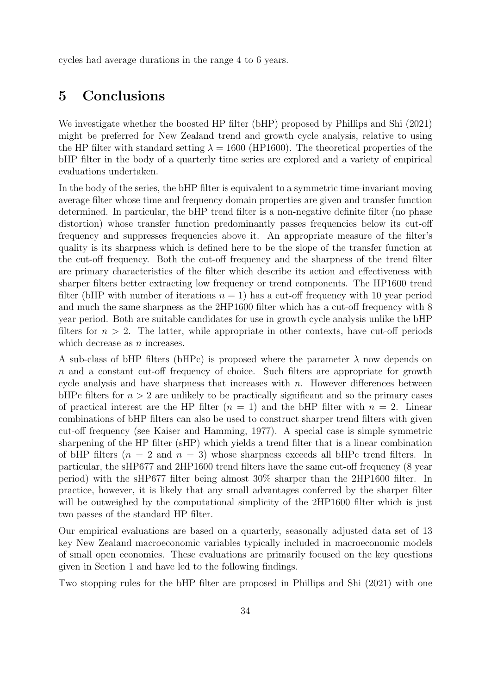cycles had average durations in the range 4 to 6 years.

# 5 Conclusions

We investigate whether the boosted HP filter (bHP) proposed by Phillips and Shi (2021) might be preferred for New Zealand trend and growth cycle analysis, relative to using the HP filter with standard setting  $\lambda = 1600$  (HP1600). The theoretical properties of the bHP filter in the body of a quarterly time series are explored and a variety of empirical evaluations undertaken.

In the body of the series, the bHP filter is equivalent to a symmetric time-invariant moving average filter whose time and frequency domain properties are given and transfer function determined. In particular, the bHP trend filter is a non-negative definite filter (no phase distortion) whose transfer function predominantly passes frequencies below its cut-off frequency and suppresses frequencies above it. An appropriate measure of the filter's quality is its sharpness which is defined here to be the slope of the transfer function at the cut-off frequency. Both the cut-off frequency and the sharpness of the trend filter are primary characteristics of the filter which describe its action and effectiveness with sharper filters better extracting low frequency or trend components. The HP1600 trend filter (bHP with number of iterations  $n = 1$ ) has a cut-off frequency with 10 year period and much the same sharpness as the 2HP1600 filter which has a cut-off frequency with 8 year period. Both are suitable candidates for use in growth cycle analysis unlike the bHP filters for  $n > 2$ . The latter, while appropriate in other contexts, have cut-off periods which decrease as  $n$  increases.

A sub-class of bHP filters (bHPc) is proposed where the parameter  $\lambda$  now depends on n and a constant cut-off frequency of choice. Such filters are appropriate for growth cycle analysis and have sharpness that increases with  $n$ . However differences between bHPc filters for  $n > 2$  are unlikely to be practically significant and so the primary cases of practical interest are the HP filter  $(n = 1)$  and the bHP filter with  $n = 2$ . Linear combinations of bHP filters can also be used to construct sharper trend filters with given cut-off frequency (see Kaiser and Hamming, 1977). A special case is simple symmetric sharpening of the HP filter (sHP) which yields a trend filter that is a linear combination of bHP filters  $(n = 2 \text{ and } n = 3)$  whose sharpness exceeds all bHPc trend filters. In particular, the sHP677 and 2HP1600 trend filters have the same cut-off frequency (8 year period) with the sHP677 filter being almost 30% sharper than the 2HP1600 filter. In practice, however, it is likely that any small advantages conferred by the sharper filter will be outweighed by the computational simplicity of the 2HP1600 filter which is just two passes of the standard HP filter.

Our empirical evaluations are based on a quarterly, seasonally adjusted data set of 13 key New Zealand macroeconomic variables typically included in macroeconomic models of small open economies. These evaluations are primarily focused on the key questions given in Section 1 and have led to the following findings.

Two stopping rules for the bHP filter are proposed in Phillips and Shi (2021) with one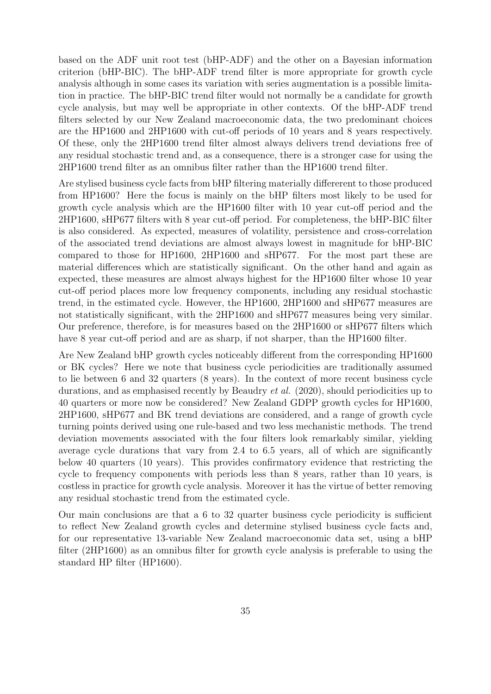based on the ADF unit root test (bHP-ADF) and the other on a Bayesian information criterion (bHP-BIC). The bHP-ADF trend filter is more appropriate for growth cycle analysis although in some cases its variation with series augmentation is a possible limitation in practice. The bHP-BIC trend filter would not normally be a candidate for growth cycle analysis, but may well be appropriate in other contexts. Of the bHP-ADF trend filters selected by our New Zealand macroeconomic data, the two predominant choices are the HP1600 and 2HP1600 with cut-off periods of 10 years and 8 years respectively. Of these, only the 2HP1600 trend filter almost always delivers trend deviations free of any residual stochastic trend and, as a consequence, there is a stronger case for using the 2HP1600 trend filter as an omnibus filter rather than the HP1600 trend filter.

Are stylised business cycle facts from bHP filtering materially differerent to those produced from HP1600? Here the focus is mainly on the bHP filters most likely to be used for growth cycle analysis which are the HP1600 filter with 10 year cut-off period and the 2HP1600, sHP677 filters with 8 year cut-off period. For completeness, the bHP-BIC filter is also considered. As expected, measures of volatility, persistence and cross-correlation of the associated trend deviations are almost always lowest in magnitude for bHP-BIC compared to those for HP1600, 2HP1600 and sHP677. For the most part these are material differences which are statistically significant. On the other hand and again as expected, these measures are almost always highest for the HP1600 filter whose 10 year cut-off period places more low frequency components, including any residual stochastic trend, in the estimated cycle. However, the HP1600, 2HP1600 and sHP677 measures are not statistically significant, with the 2HP1600 and sHP677 measures being very similar. Our preference, therefore, is for measures based on the 2HP1600 or sHP677 filters which have 8 year cut-off period and are as sharp, if not sharper, than the HP1600 filter.

Are New Zealand bHP growth cycles noticeably different from the corresponding HP1600 or BK cycles? Here we note that business cycle periodicities are traditionally assumed to lie between 6 and 32 quarters (8 years). In the context of more recent business cycle durations, and as emphasised recently by Beaudry et al. (2020), should periodicities up to 40 quarters or more now be considered? New Zealand GDPP growth cycles for HP1600, 2HP1600, sHP677 and BK trend deviations are considered, and a range of growth cycle turning points derived using one rule-based and two less mechanistic methods. The trend deviation movements associated with the four filters look remarkably similar, yielding average cycle durations that vary from 2.4 to 6.5 years, all of which are significantly below 40 quarters (10 years). This provides confirmatory evidence that restricting the cycle to frequency components with periods less than 8 years, rather than 10 years, is costless in practice for growth cycle analysis. Moreover it has the virtue of better removing any residual stochastic trend from the estimated cycle.

Our main conclusions are that a 6 to 32 quarter business cycle periodicity is sufficient to reflect New Zealand growth cycles and determine stylised business cycle facts and, for our representative 13-variable New Zealand macroeconomic data set, using a bHP filter (2HP1600) as an omnibus filter for growth cycle analysis is preferable to using the standard HP filter (HP1600).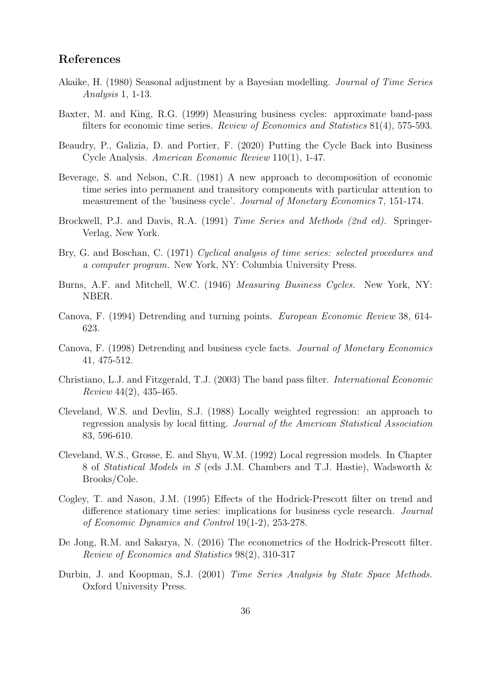#### References

- Akaike, H. (1980) Seasonal adjustment by a Bayesian modelling. Journal of Time Series Analysis 1, 1-13.
- Baxter, M. and King, R.G. (1999) Measuring business cycles: approximate band-pass filters for economic time series. Review of Economics and Statistics 81(4), 575-593.
- Beaudry, P., Galizia, D. and Portier, F. (2020) Putting the Cycle Back into Business Cycle Analysis. American Economic Review 110(1), 1-47.
- Beverage, S. and Nelson, C.R. (1981) A new approach to decomposition of economic time series into permanent and transitory components with particular attention to measurement of the 'business cycle'. Journal of Monetary Economics 7, 151-174.
- Brockwell, P.J. and Davis, R.A. (1991) Time Series and Methods (2nd ed). Springer-Verlag, New York.
- Bry, G. and Boschan, C. (1971) Cyclical analysis of time series: selected procedures and a computer program. New York, NY: Columbia University Press.
- Burns, A.F. and Mitchell, W.C. (1946) Measuring Business Cycles. New York, NY: NBER.
- Canova, F. (1994) Detrending and turning points. European Economic Review 38, 614- 623.
- Canova, F. (1998) Detrending and business cycle facts. Journal of Monetary Economics 41, 475-512.
- Christiano, L.J. and Fitzgerald, T.J. (2003) The band pass filter. International Economic Review 44(2), 435-465.
- Cleveland, W.S. and Devlin, S.J. (1988) Locally weighted regression: an approach to regression analysis by local fitting. Journal of the American Statistical Association 83, 596-610.
- Cleveland, W.S., Grosse, E. and Shyu, W.M. (1992) Local regression models. In Chapter 8 of Statistical Models in S (eds J.M. Chambers and T.J. Hastie), Wadsworth & Brooks/Cole.
- Cogley, T. and Nason, J.M. (1995) Effects of the Hodrick-Prescott filter on trend and difference stationary time series: implications for business cycle research. Journal of Economic Dynamics and Control 19(1-2), 253-278.
- De Jong, R.M. and Sakarya, N. (2016) The econometrics of the Hodrick-Prescott filter. Review of Economics and Statistics 98(2), 310-317
- Durbin, J. and Koopman, S.J. (2001) Time Series Analysis by State Space Methods. Oxford University Press.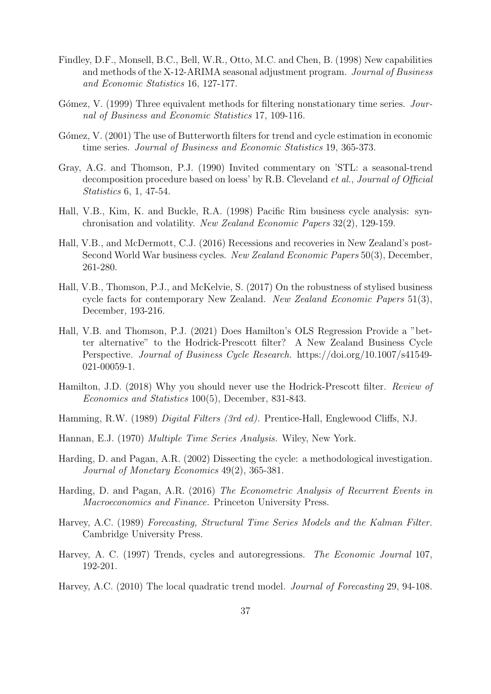- Findley, D.F., Monsell, B.C., Bell, W.R., Otto, M.C. and Chen, B. (1998) New capabilities and methods of the X-12-ARIMA seasonal adjustment program. Journal of Business and Economic Statistics 16, 127-177.
- Gómez, V. (1999) Three equivalent methods for filtering nonstationary time series. Journal of Business and Economic Statistics 17, 109-116.
- Gómez, V. (2001) The use of Butterworth filters for trend and cycle estimation in economic time series. Journal of Business and Economic Statistics 19, 365-373.
- Gray, A.G. and Thomson, P.J. (1990) Invited commentary on 'STL: a seasonal-trend decomposition procedure based on loess' by R.B. Cleveland et al., Journal of Official Statistics 6, 1, 47-54.
- Hall, V.B., Kim, K. and Buckle, R.A. (1998) Pacific Rim business cycle analysis: synchronisation and volatility. New Zealand Economic Papers 32(2), 129-159.
- Hall, V.B., and McDermott, C.J. (2016) Recessions and recoveries in New Zealand's post-Second World War business cycles. New Zealand Economic Papers 50(3), December, 261-280.
- Hall, V.B., Thomson, P.J., and McKelvie, S. (2017) On the robustness of stylised business cycle facts for contemporary New Zealand. New Zealand Economic Papers 51(3), December, 193-216.
- Hall, V.B. and Thomson, P.J. (2021) Does Hamilton's OLS Regression Provide a "better alternative" to the Hodrick-Prescott filter? A New Zealand Business Cycle Perspective. Journal of Business Cycle Research. https://doi.org/10.1007/s41549- 021-00059-1.
- Hamilton, J.D. (2018) Why you should never use the Hodrick-Prescott filter. Review of Economics and Statistics 100(5), December, 831-843.
- Hamming, R.W. (1989) Digital Filters (3rd ed). Prentice-Hall, Englewood Cliffs, NJ.
- Hannan, E.J. (1970) Multiple Time Series Analysis. Wiley, New York.
- Harding, D. and Pagan, A.R. (2002) Dissecting the cycle: a methodological investigation. Journal of Monetary Economics 49(2), 365-381.
- Harding, D. and Pagan, A.R. (2016) The Econometric Analysis of Recurrent Events in Macroeconomics and Finance. Princeton University Press.
- Harvey, A.C. (1989) Forecasting, Structural Time Series Models and the Kalman Filter. Cambridge University Press.
- Harvey, A. C. (1997) Trends, cycles and autoregressions. The Economic Journal 107, 192-201.
- Harvey, A.C. (2010) The local quadratic trend model. Journal of Forecasting 29, 94-108.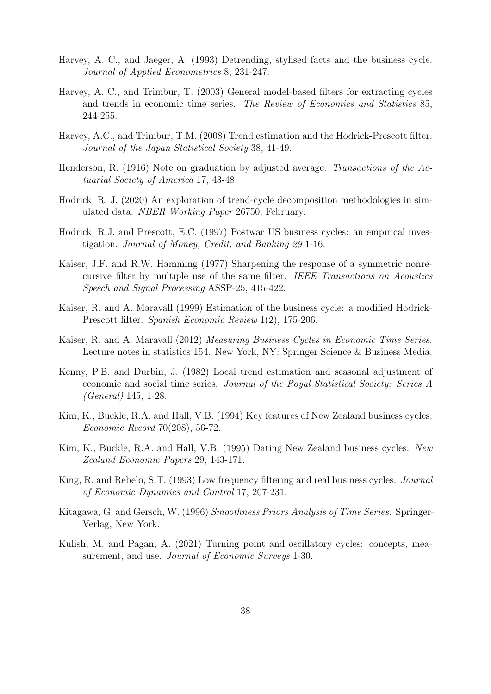- Harvey, A. C., and Jaeger, A. (1993) Detrending, stylised facts and the business cycle. Journal of Applied Econometrics 8, 231-247.
- Harvey, A. C., and Trimbur, T. (2003) General model-based filters for extracting cycles and trends in economic time series. The Review of Economics and Statistics 85, 244-255.
- Harvey, A.C., and Trimbur, T.M. (2008) Trend estimation and the Hodrick-Prescott filter. Journal of the Japan Statistical Society 38, 41-49.
- Henderson, R. (1916) Note on graduation by adjusted average. Transactions of the Actuarial Society of America 17, 43-48.
- Hodrick, R. J. (2020) An exploration of trend-cycle decomposition methodologies in simulated data. NBER Working Paper 26750, February.
- Hodrick, R.J. and Prescott, E.C. (1997) Postwar US business cycles: an empirical investigation. Journal of Money, Credit, and Banking 29 1-16.
- Kaiser, J.F. and R.W. Hamming (1977) Sharpening the response of a symmetric nonrecursive filter by multiple use of the same filter. IEEE Transactions on Acoustics Speech and Signal Processing ASSP-25, 415-422.
- Kaiser, R. and A. Maravall (1999) Estimation of the business cycle: a modified Hodrick-Prescott filter. Spanish Economic Review 1(2), 175-206.
- Kaiser, R. and A. Maravall (2012) Measuring Business Cycles in Economic Time Series. Lecture notes in statistics 154. New York, NY: Springer Science & Business Media.
- Kenny, P.B. and Durbin, J. (1982) Local trend estimation and seasonal adjustment of economic and social time series. Journal of the Royal Statistical Society: Series A (General) 145, 1-28.
- Kim, K., Buckle, R.A. and Hall, V.B. (1994) Key features of New Zealand business cycles. Economic Record 70(208), 56-72.
- Kim, K., Buckle, R.A. and Hall, V.B. (1995) Dating New Zealand business cycles. New Zealand Economic Papers 29, 143-171.
- King, R. and Rebelo, S.T. (1993) Low frequency filtering and real business cycles. Journal of Economic Dynamics and Control 17, 207-231.
- Kitagawa, G. and Gersch, W. (1996) Smoothness Priors Analysis of Time Series. Springer-Verlag, New York.
- Kulish, M. and Pagan, A. (2021) Turning point and oscillatory cycles: concepts, measurement, and use. *Journal of Economic Surveys* 1-30.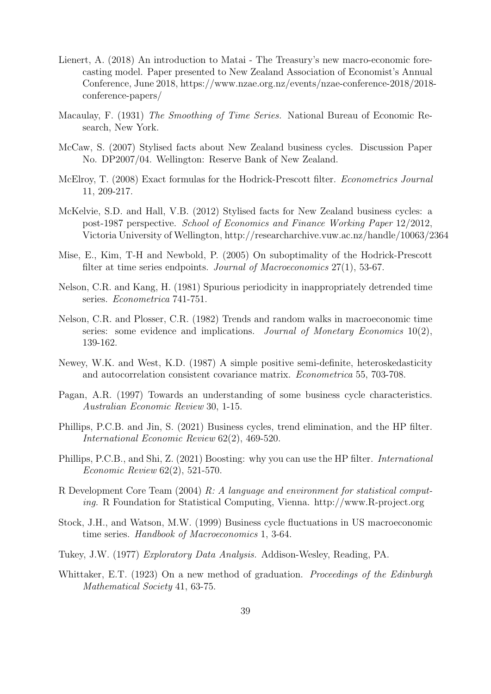- Lienert, A. (2018) An introduction to Matai The Treasury's new macro-economic forecasting model. Paper presented to New Zealand Association of Economist's Annual Conference, June 2018, https://www.nzae.org.nz/events/nzae-conference-2018/2018 conference-papers/
- Macaulay, F. (1931) The Smoothing of Time Series. National Bureau of Economic Research, New York.
- McCaw, S. (2007) Stylised facts about New Zealand business cycles. Discussion Paper No. DP2007/04. Wellington: Reserve Bank of New Zealand.
- McElroy, T. (2008) Exact formulas for the Hodrick-Prescott filter. *Econometrics Journal* 11, 209-217.
- McKelvie, S.D. and Hall, V.B. (2012) Stylised facts for New Zealand business cycles: a post-1987 perspective. School of Economics and Finance Working Paper 12/2012, Victoria University of Wellington, http://researcharchive.vuw.ac.nz/handle/10063/2364
- Mise, E., Kim, T-H and Newbold, P. (2005) On suboptimality of the Hodrick-Prescott filter at time series endpoints. Journal of Macroeconomics 27(1), 53-67.
- Nelson, C.R. and Kang, H. (1981) Spurious periodicity in inappropriately detrended time series. Econometrica 741-751.
- Nelson, C.R. and Plosser, C.R. (1982) Trends and random walks in macroeconomic time series: some evidence and implications. Journal of Monetary Economics 10(2), 139-162.
- Newey, W.K. and West, K.D. (1987) A simple positive semi-definite, heteroskedasticity and autocorrelation consistent covariance matrix. Econometrica 55, 703-708.
- Pagan, A.R. (1997) Towards an understanding of some business cycle characteristics. Australian Economic Review 30, 1-15.
- Phillips, P.C.B. and Jin, S. (2021) Business cycles, trend elimination, and the HP filter. International Economic Review 62(2), 469-520.
- Phillips, P.C.B., and Shi, Z. (2021) Boosting: why you can use the HP filter. International Economic Review 62(2), 521-570.
- R Development Core Team (2004) R: A language and environment for statistical computing. R Foundation for Statistical Computing, Vienna. http://www.R-project.org
- Stock, J.H., and Watson, M.W. (1999) Business cycle fluctuations in US macroeconomic time series. Handbook of Macroeconomics 1, 3-64.
- Tukey, J.W. (1977) Exploratory Data Analysis. Addison-Wesley, Reading, PA.
- Whittaker, E.T. (1923) On a new method of graduation. *Proceedings of the Edinburgh* Mathematical Society 41, 63-75.